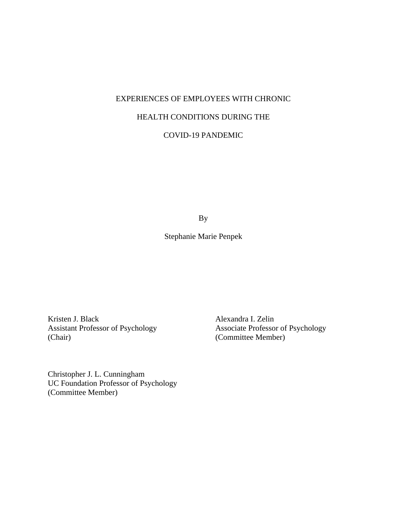# EXPERIENCES OF EMPLOYEES WITH CHRONIC HEALTH CONDITIONS DURING THE

COVID-19 PANDEMIC

By

Stephanie Marie Penpek

Assistant Professor of Psychology (Chair)

Kristen J. Black Alexandra I. Zelin<br>Assistant Professor of Psychology Associate Professor of Psychology (Committee Member)

Christopher J. L. Cunningham UC Foundation Professor of Psychology (Committee Member)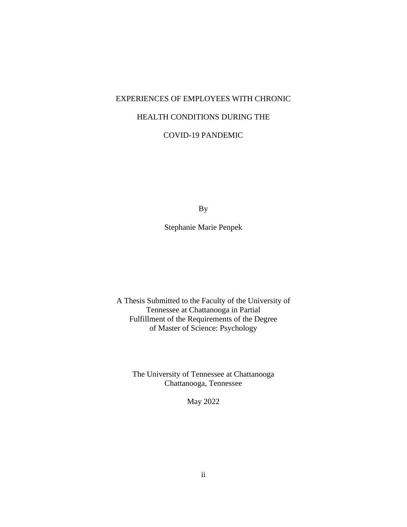## EXPERIENCES OF EMPLOYEES WITH CHRONIC HEALTH CONDITIONS DURING THE COVID-19 PANDEMIC

By

Stephanie Marie Penpek

A Thesis Submitted to the Faculty of the University of Tennessee at Chattanooga in Partial Fulfillment of the Requirements of the Degree of Master of Science: Psychology

The University of Tennessee at Chattanooga Chattanooga, Tennessee

May 2022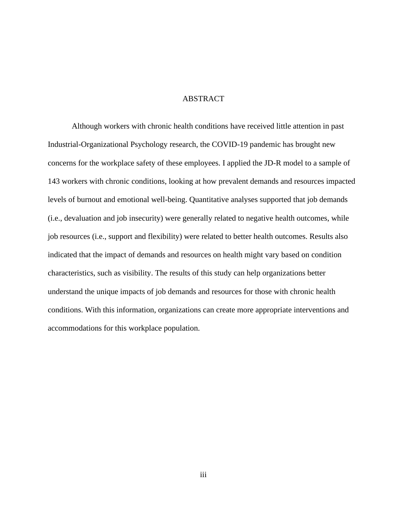#### ABSTRACT

Although workers with chronic health conditions have received little attention in past Industrial-Organizational Psychology research, the COVID-19 pandemic has brought new concerns for the workplace safety of these employees. I applied the JD-R model to a sample of 143 workers with chronic conditions, looking at how prevalent demands and resources impacted levels of burnout and emotional well-being. Quantitative analyses supported that job demands (i.e., devaluation and job insecurity) were generally related to negative health outcomes, while job resources (i.e., support and flexibility) were related to better health outcomes. Results also indicated that the impact of demands and resources on health might vary based on condition characteristics, such as visibility. The results of this study can help organizations better understand the unique impacts of job demands and resources for those with chronic health conditions. With this information, organizations can create more appropriate interventions and accommodations for this workplace population.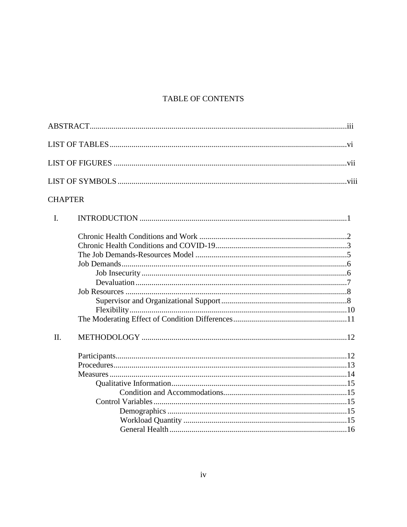## TABLE OF CONTENTS

## **CHAPTER**

| II. |  |
|-----|--|
|     |  |
|     |  |
|     |  |
|     |  |
|     |  |
|     |  |
|     |  |
|     |  |
|     |  |
|     |  |
|     |  |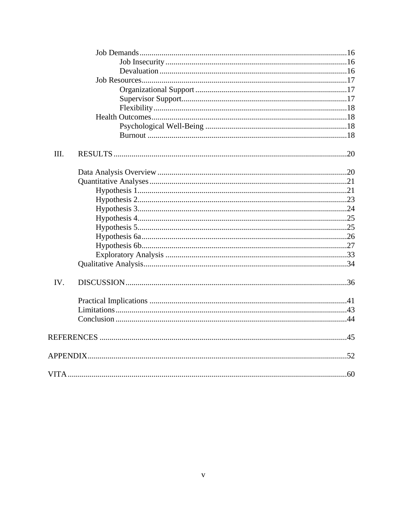| III. |  |
|------|--|
|      |  |
|      |  |
|      |  |
|      |  |
|      |  |
|      |  |
|      |  |
|      |  |
|      |  |
|      |  |
|      |  |
| IV.  |  |
|      |  |
|      |  |
|      |  |
|      |  |
|      |  |
|      |  |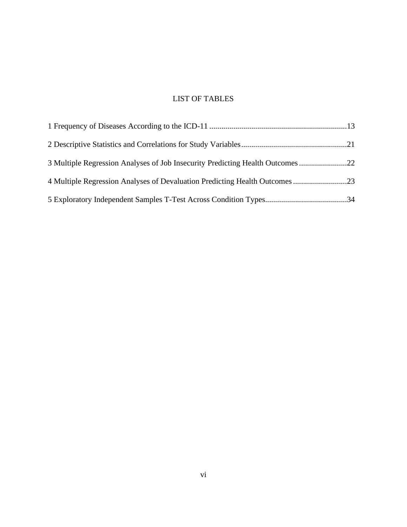## LIST OF TABLES

| 3 Multiple Regression Analyses of Job Insecurity Predicting Health Outcomes 22 |  |
|--------------------------------------------------------------------------------|--|
| 4 Multiple Regression Analyses of Devaluation Predicting Health Outcomes 23    |  |
|                                                                                |  |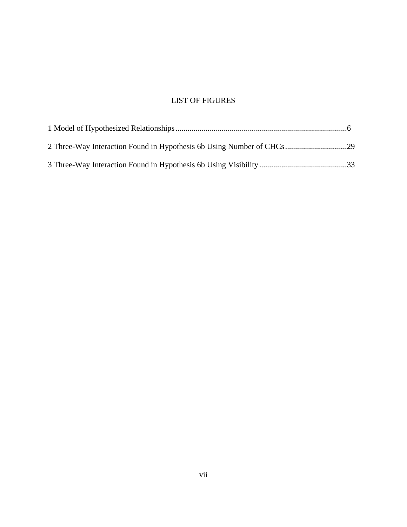## LIST OF FIGURES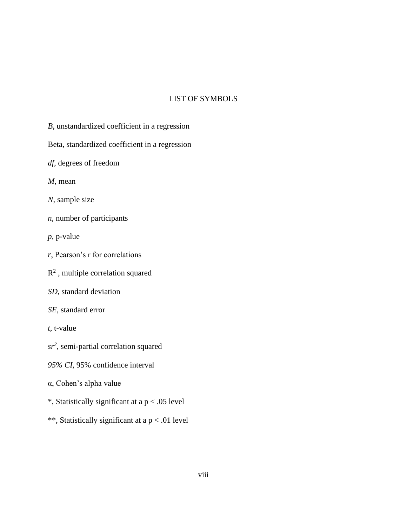#### LIST OF SYMBOLS

- *B*, unstandardized coefficient in a regression
- Beta, standardized coefficient in a regression
- *df*, degrees of freedom
- *M*, mean
- *N*, sample size
- *n*, number of participants
- *p*, p-value
- *r*, Pearson's r for correlations
- $R<sup>2</sup>$ , multiple correlation squared
- *SD*, standard deviation
- *SE*, standard error
- *t*, t-value
- *sr<sup>2</sup>* , semi-partial correlation squared
- *95% CI*, 95% confidence interval
- α, Cohen's alpha value
- \*, Statistically significant at a p < .05 level
- \*\*, Statistically significant at a p < .01 level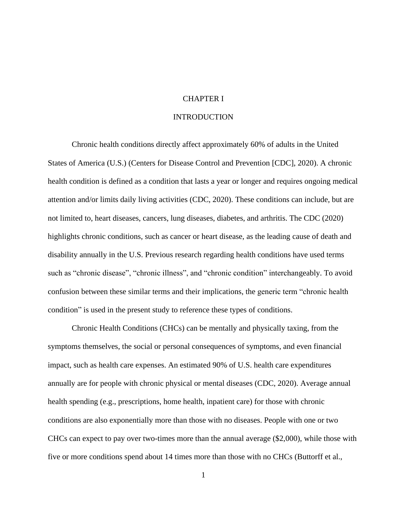#### CHAPTER I

#### INTRODUCTION

Chronic health conditions directly affect approximately 60% of adults in the United States of America (U.S.) (Centers for Disease Control and Prevention [CDC], 2020). A chronic health condition is defined as a condition that lasts a year or longer and requires ongoing medical attention and/or limits daily living activities (CDC, 2020). These conditions can include, but are not limited to, heart diseases, cancers, lung diseases, diabetes, and arthritis. The CDC (2020) highlights chronic conditions, such as cancer or heart disease, as the leading cause of death and disability annually in the U.S. Previous research regarding health conditions have used terms such as "chronic disease", "chronic illness", and "chronic condition" interchangeably. To avoid confusion between these similar terms and their implications, the generic term "chronic health condition" is used in the present study to reference these types of conditions.

Chronic Health Conditions (CHCs) can be mentally and physically taxing, from the symptoms themselves, the social or personal consequences of symptoms, and even financial impact, such as health care expenses. An estimated 90% of U.S. health care expenditures annually are for people with chronic physical or mental diseases (CDC, 2020). Average annual health spending (e.g., prescriptions, home health, inpatient care) for those with chronic conditions are also exponentially more than those with no diseases. People with one or two CHCs can expect to pay over two-times more than the annual average (\$2,000), while those with five or more conditions spend about 14 times more than those with no CHCs (Buttorff et al.,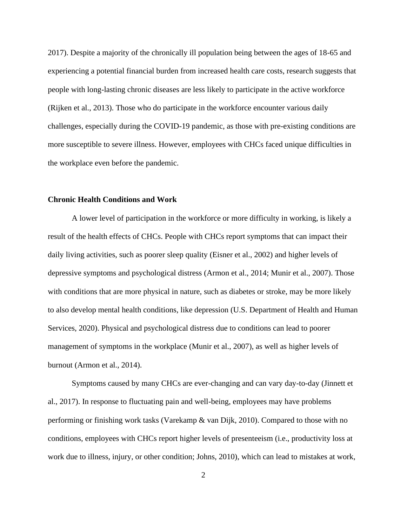2017). Despite a majority of the chronically ill population being between the ages of 18-65 and experiencing a potential financial burden from increased health care costs, research suggests that people with long-lasting chronic diseases are less likely to participate in the active workforce (Rijken et al., 2013). Those who do participate in the workforce encounter various daily challenges, especially during the COVID-19 pandemic, as those with pre-existing conditions are more susceptible to severe illness. However, employees with CHCs faced unique difficulties in the workplace even before the pandemic.

#### **Chronic Health Conditions and Work**

A lower level of participation in the workforce or more difficulty in working, is likely a result of the health effects of CHCs. People with CHCs report symptoms that can impact their daily living activities, such as poorer sleep quality (Eisner et al., 2002) and higher levels of depressive symptoms and psychological distress (Armon et al., 2014; Munir et al., 2007). Those with conditions that are more physical in nature, such as diabetes or stroke, may be more likely to also develop mental health conditions, like depression (U.S. Department of Health and Human Services, 2020). Physical and psychological distress due to conditions can lead to poorer management of symptoms in the workplace (Munir et al., 2007), as well as higher levels of burnout (Armon et al., 2014).

Symptoms caused by many CHCs are ever-changing and can vary day-to-day (Jinnett et al., 2017). In response to fluctuating pain and well-being, employees may have problems performing or finishing work tasks (Varekamp & van Dijk, 2010). Compared to those with no conditions, employees with CHCs report higher levels of presenteeism (i.e., productivity loss at work due to illness, injury, or other condition; Johns, 2010), which can lead to mistakes at work,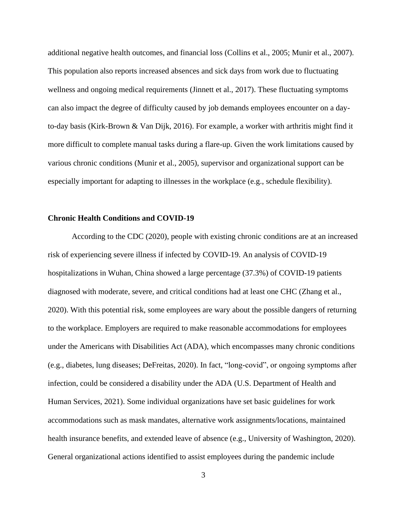additional negative health outcomes, and financial loss (Collins et al., 2005; Munir et al., 2007). This population also reports increased absences and sick days from work due to fluctuating wellness and ongoing medical requirements (Jinnett et al., 2017). These fluctuating symptoms can also impact the degree of difficulty caused by job demands employees encounter on a dayto-day basis (Kirk-Brown & Van Dijk, 2016). For example, a worker with arthritis might find it more difficult to complete manual tasks during a flare-up. Given the work limitations caused by various chronic conditions (Munir et al., 2005), supervisor and organizational support can be especially important for adapting to illnesses in the workplace (e.g., schedule flexibility).

#### **Chronic Health Conditions and COVID-19**

According to the CDC (2020), people with existing chronic conditions are at an increased risk of experiencing severe illness if infected by COVID-19. An analysis of COVID-19 hospitalizations in Wuhan, China showed a large percentage (37.3%) of COVID-19 patients diagnosed with moderate, severe, and critical conditions had at least one CHC (Zhang et al., 2020). With this potential risk, some employees are wary about the possible dangers of returning to the workplace. Employers are required to make reasonable accommodations for employees under the Americans with Disabilities Act (ADA), which encompasses many chronic conditions (e.g., diabetes, lung diseases; DeFreitas, 2020). In fact, "long-covid", or ongoing symptoms after infection, could be considered a disability under the ADA (U.S. Department of Health and Human Services, 2021). Some individual organizations have set basic guidelines for work accommodations such as mask mandates, alternative work assignments/locations, maintained health insurance benefits, and extended leave of absence (e.g., University of Washington, 2020). General organizational actions identified to assist employees during the pandemic include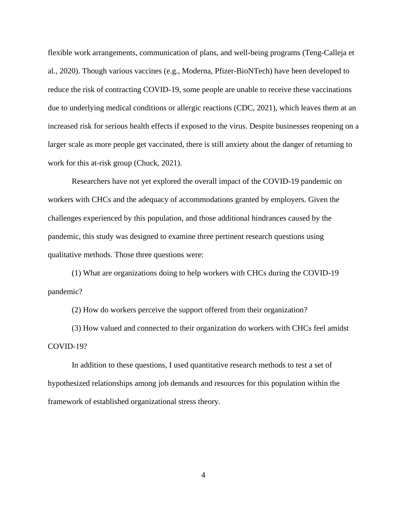flexible work arrangements, communication of plans, and well-being programs (Teng-Calleja et al., 2020). Though various vaccines (e.g., Moderna, Pfizer-BioNTech) have been developed to reduce the risk of contracting COVID-19, some people are unable to receive these vaccinations due to underlying medical conditions or allergic reactions (CDC, 2021), which leaves them at an increased risk for serious health effects if exposed to the virus. Despite businesses reopening on a larger scale as more people get vaccinated, there is still anxiety about the danger of returning to work for this at-risk group (Chuck, 2021).

Researchers have not yet explored the overall impact of the COVID-19 pandemic on workers with CHCs and the adequacy of accommodations granted by employers. Given the challenges experienced by this population, and those additional hindrances caused by the pandemic, this study was designed to examine three pertinent research questions using qualitative methods. Those three questions were:

(1) What are organizations doing to help workers with CHCs during the COVID-19 pandemic?

(2) How do workers perceive the support offered from their organization?

(3) How valued and connected to their organization do workers with CHCs feel amidst COVID-19?

In addition to these questions, I used quantitative research methods to test a set of hypothesized relationships among job demands and resources for this population within the framework of established organizational stress theory.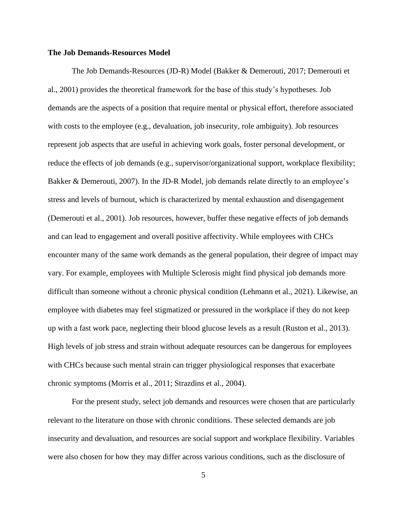#### **The Job Demands-Resources Model**

The Job Demands-Resources (JD-R) Model (Bakker & Demerouti, 2017; Demerouti et al., 2001) provides the theoretical framework for the base of this study's hypotheses. Job demands are the aspects of a position that require mental or physical effort, therefore associated with costs to the employee (e.g., devaluation, job insecurity, role ambiguity). Job resources represent job aspects that are useful in achieving work goals, foster personal development, or reduce the effects of job demands (e.g., supervisor/organizational support, workplace flexibility; Bakker & Demerouti, 2007). In the JD-R Model, job demands relate directly to an employee's stress and levels of burnout, which is characterized by mental exhaustion and disengagement (Demerouti et al., 2001). Job resources, however, buffer these negative effects of job demands and can lead to engagement and overall positive affectivity. While employees with CHCs encounter many of the same work demands as the general population, their degree of impact may vary. For example, employees with Multiple Sclerosis might find physical job demands more difficult than someone without a chronic physical condition (Lehmann et al., 2021). Likewise, an employee with diabetes may feel stigmatized or pressured in the workplace if they do not keep up with a fast work pace, neglecting their blood glucose levels as a result (Ruston et al., 2013). High levels of job stress and strain without adequate resources can be dangerous for employees with CHCs because such mental strain can trigger physiological responses that exacerbate chronic symptoms (Morris et al., 2011; Strazdins et al., 2004).

For the present study, select job demands and resources were chosen that are particularly relevant to the literature on those with chronic conditions. These selected demands are job insecurity and devaluation, and resources are social support and workplace flexibility. Variables were also chosen for how they may differ across various conditions, such as the disclosure of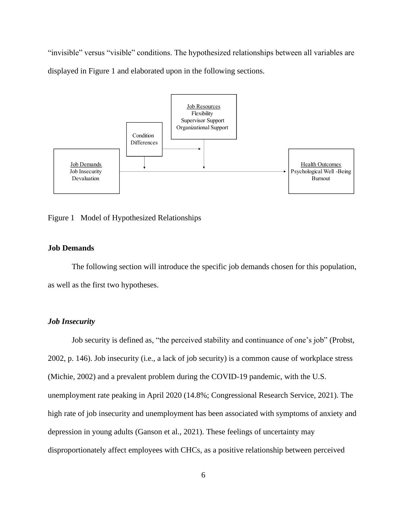"invisible" versus "visible" conditions. The hypothesized relationships between all variables are displayed in Figure 1 and elaborated upon in the following sections. 



Figure 1 Model of Hypothesized Relationships

#### **Job Demands**

The following section will introduce the specific job demands chosen for this population, as well as the first two hypotheses.

#### *Job Insecurity*

Job security is defined as, "the perceived stability and continuance of one's job" (Probst, 2002, p. 146). Job insecurity (i.e., a lack of job security) is a common cause of workplace stress (Michie, 2002) and a prevalent problem during the COVID-19 pandemic, with the U.S. unemployment rate peaking in April 2020 (14.8%; Congressional Research Service, 2021). The high rate of job insecurity and unemployment has been associated with symptoms of anxiety and depression in young adults (Ganson et al., 2021). These feelings of uncertainty may disproportionately affect employees with CHCs, as a positive relationship between perceived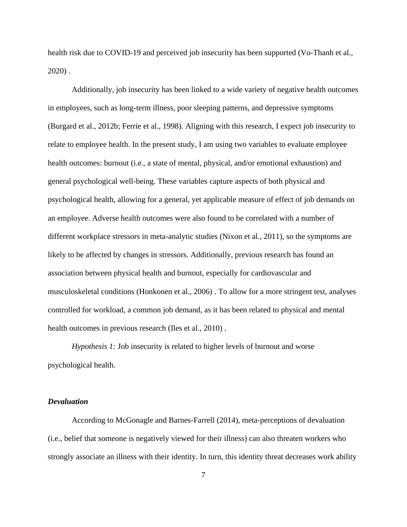health risk due to COVID-19 and perceived job insecurity has been supported (Vo-Thanh et al., 2020) .

Additionally, job insecurity has been linked to a wide variety of negative health outcomes in employees, such as long-term illness, poor sleeping patterns, and depressive symptoms (Burgard et al., 2012b; Ferrie et al., 1998). Aligning with this research, I expect job insecurity to relate to employee health. In the present study, I am using two variables to evaluate employee health outcomes: burnout (i.e., a state of mental, physical, and/or emotional exhaustion) and general psychological well-being. These variables capture aspects of both physical and psychological health, allowing for a general, yet applicable measure of effect of job demands on an employee. Adverse health outcomes were also found to be correlated with a number of different workplace stressors in meta-analytic studies (Nixon et al., 2011), so the symptoms are likely to be affected by changes in stressors. Additionally, previous research has found an association between physical health and burnout, especially for cardiovascular and musculoskeletal conditions (Honkonen et al., 2006) . To allow for a more stringent test, analyses controlled for workload, a common job demand, as it has been related to physical and mental health outcomes in previous research (Iles et al., 2010).

*Hypothesis 1:* Job insecurity is related to higher levels of burnout and worse psychological health.

#### *Devaluation*

According to McGonagle and Barnes-Farrell (2014), meta-perceptions of devaluation (i.e., belief that someone is negatively viewed for their illness) can also threaten workers who strongly associate an illness with their identity. In turn, this identity threat decreases work ability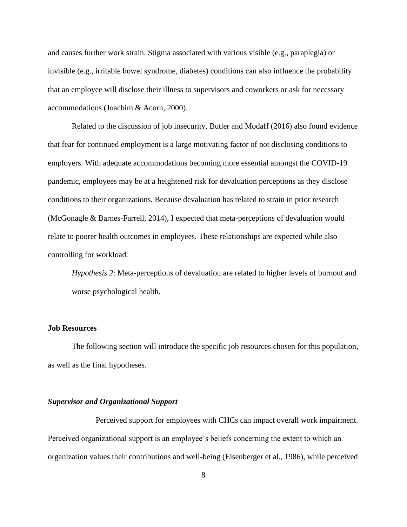and causes further work strain. Stigma associated with various visible (e.g., paraplegia) or invisible (e.g., irritable bowel syndrome, diabetes) conditions can also influence the probability that an employee will disclose their illness to supervisors and coworkers or ask for necessary accommodations (Joachim & Acorn, 2000).

Related to the discussion of job insecurity, Butler and Modaff (2016) also found evidence that fear for continued employment is a large motivating factor of not disclosing conditions to employers. With adequate accommodations becoming more essential amongst the COVID-19 pandemic, employees may be at a heightened risk for devaluation perceptions as they disclose conditions to their organizations. Because devaluation has related to strain in prior research (McGonagle & Barnes-Farrell, 2014), I expected that meta-perceptions of devaluation would relate to poorer health outcomes in employees. These relationships are expected while also controlling for workload.

*Hypothesis 2*: Meta-perceptions of devaluation are related to higher levels of burnout and worse psychological health.

#### **Job Resources**

The following section will introduce the specific job resources chosen for this population, as well as the final hypotheses.

#### *Supervisor and Organizational Support*

Perceived support for employees with CHCs can impact overall work impairment. Perceived organizational support is an employee's beliefs concerning the extent to which an organization values their contributions and well-being (Eisenberger et al., 1986), while perceived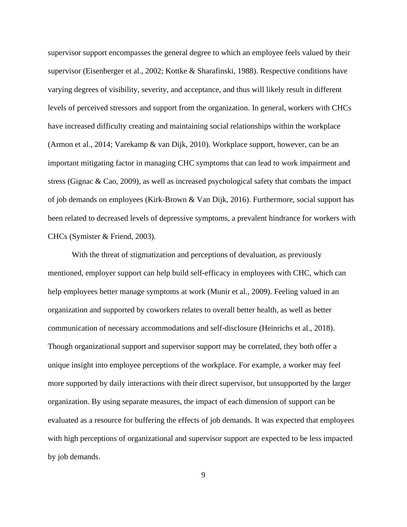supervisor support encompasses the general degree to which an employee feels valued by their supervisor (Eisenberger et al., 2002; Kottke & Sharafinski, 1988). Respective conditions have varying degrees of visibility, severity, and acceptance, and thus will likely result in different levels of perceived stressors and support from the organization. In general, workers with CHCs have increased difficulty creating and maintaining social relationships within the workplace (Armon et al., 2014; Varekamp & van Dijk, 2010). Workplace support, however, can be an important mitigating factor in managing CHC symptoms that can lead to work impairment and stress (Gignac & Cao, 2009), as well as increased psychological safety that combats the impact of job demands on employees (Kirk-Brown & Van Dijk, 2016). Furthermore, social support has been related to decreased levels of depressive symptoms, a prevalent hindrance for workers with CHCs (Symister & Friend, 2003).

With the threat of stigmatization and perceptions of devaluation, as previously mentioned, employer support can help build self-efficacy in employees with CHC, which can help employees better manage symptoms at work (Munir et al., 2009). Feeling valued in an organization and supported by coworkers relates to overall better health, as well as better communication of necessary accommodations and self-disclosure (Heinrichs et al., 2018). Though organizational support and supervisor support may be correlated, they both offer a unique insight into employee perceptions of the workplace. For example, a worker may feel more supported by daily interactions with their direct supervisor, but unsupported by the larger organization. By using separate measures, the impact of each dimension of support can be evaluated as a resource for buffering the effects of job demands. It was expected that employees with high perceptions of organizational and supervisor support are expected to be less impacted by job demands.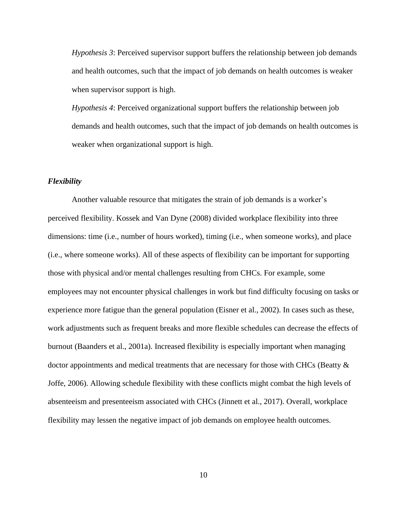*Hypothesis 3*: Perceived supervisor support buffers the relationship between job demands and health outcomes, such that the impact of job demands on health outcomes is weaker when supervisor support is high.

*Hypothesis 4*: Perceived organizational support buffers the relationship between job demands and health outcomes, such that the impact of job demands on health outcomes is weaker when organizational support is high.

#### *Flexibility*

Another valuable resource that mitigates the strain of job demands is a worker's perceived flexibility. Kossek and Van Dyne (2008) divided workplace flexibility into three dimensions: time (i.e., number of hours worked), timing (i.e., when someone works), and place (i.e., where someone works). All of these aspects of flexibility can be important for supporting those with physical and/or mental challenges resulting from CHCs. For example, some employees may not encounter physical challenges in work but find difficulty focusing on tasks or experience more fatigue than the general population (Eisner et al., 2002). In cases such as these, work adjustments such as frequent breaks and more flexible schedules can decrease the effects of burnout (Baanders et al., 2001a). Increased flexibility is especially important when managing doctor appointments and medical treatments that are necessary for those with CHCs (Beatty & Joffe, 2006). Allowing schedule flexibility with these conflicts might combat the high levels of absenteeism and presenteeism associated with CHCs (Jinnett et al., 2017). Overall, workplace flexibility may lessen the negative impact of job demands on employee health outcomes.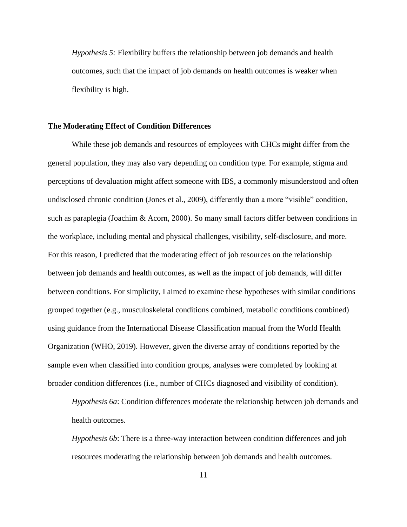*Hypothesis 5:* Flexibility buffers the relationship between job demands and health outcomes, such that the impact of job demands on health outcomes is weaker when flexibility is high.

#### **The Moderating Effect of Condition Differences**

While these job demands and resources of employees with CHCs might differ from the general population, they may also vary depending on condition type. For example, stigma and perceptions of devaluation might affect someone with IBS, a commonly misunderstood and often undisclosed chronic condition (Jones et al., 2009), differently than a more "visible" condition, such as paraplegia (Joachim & Acorn, 2000). So many small factors differ between conditions in the workplace, including mental and physical challenges, visibility, self-disclosure, and more. For this reason, I predicted that the moderating effect of job resources on the relationship between job demands and health outcomes, as well as the impact of job demands, will differ between conditions. For simplicity, I aimed to examine these hypotheses with similar conditions grouped together (e.g., musculoskeletal conditions combined, metabolic conditions combined) using guidance from the International Disease Classification manual from the World Health Organization (WHO, 2019). However, given the diverse array of conditions reported by the sample even when classified into condition groups, analyses were completed by looking at broader condition differences (i.e., number of CHCs diagnosed and visibility of condition).

*Hypothesis 6a*: Condition differences moderate the relationship between job demands and health outcomes.

*Hypothesis 6b*: There is a three-way interaction between condition differences and job resources moderating the relationship between job demands and health outcomes.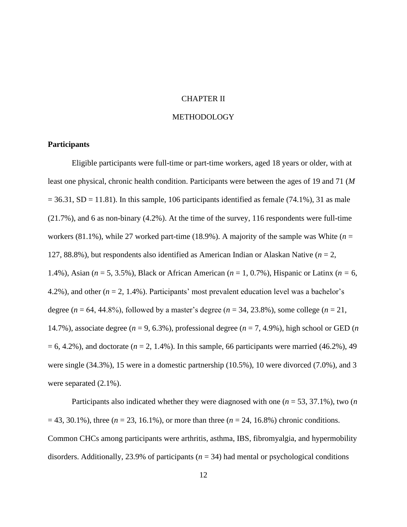#### CHAPTER II

#### METHODOLOGY

#### **Participants**

Eligible participants were full-time or part-time workers, aged 18 years or older, with at least one physical, chronic health condition. Participants were between the ages of 19 and 71 (*M*  $= 36.31$ , SD = 11.81). In this sample, 106 participants identified as female (74.1%), 31 as male (21.7%), and 6 as non-binary (4.2%). At the time of the survey, 116 respondents were full-time workers (81.1%), while 27 worked part-time (18.9%). A majority of the sample was White (*n* = 127, 88.8%), but respondents also identified as American Indian or Alaskan Native (*n* = 2, 1.4%), Asian (*n* = 5, 3.5%), Black or African American (*n* = 1, 0.7%), Hispanic or Latinx (*n =* 6, 4.2%), and other (*n* = 2, 1.4%). Participants' most prevalent education level was a bachelor's degree (*n* = 64, 44.8%), followed by a master's degree (*n* = 34, 23.8%), some college (*n* = 21, 14.7%), associate degree (*n* = 9, 6.3%), professional degree (*n* = 7, 4.9%), high school or GED (*n*   $= 6, 4.2\%$ ), and doctorate ( $n = 2, 1.4\%$ ). In this sample, 66 participants were married (46.2%), 49 were single (34.3%), 15 were in a domestic partnership (10.5%), 10 were divorced (7.0%), and 3 were separated (2.1%).

Participants also indicated whether they were diagnosed with one (*n* = 53, 37.1%), two (*n*  = 43, 30.1%), three (*n* = 23, 16.1%), or more than three (*n* = 24, 16.8%) chronic conditions. Common CHCs among participants were arthritis, asthma, IBS, fibromyalgia, and hypermobility disorders. Additionally, 23.9% of participants (*n* = 34) had mental or psychological conditions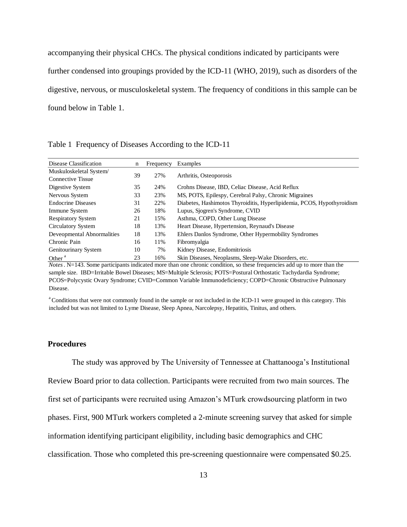accompanying their physical CHCs. The physical conditions indicated by participants were further condensed into groupings provided by the ICD-11 (WHO, 2019), such as disorders of the digestive, nervous, or musculoskeletal system. The frequency of conditions in this sample can be found below in Table 1.

Table 1 Frequency of Diseases According to the ICD-11

| Disease Classification     | n  | Frequency | Examples                                                               |
|----------------------------|----|-----------|------------------------------------------------------------------------|
| Muskuloskeletal System/    |    |           |                                                                        |
| <b>Connective Tissue</b>   | 39 | 27%       | Arthritis, Osteoporosis                                                |
| Digestive System           | 35 | 24%       | Crohns Disease, IBD, Celiac Disease, Acid Reflux                       |
| Nervous System             | 33 | 23%       | MS, POTS, Epilespy, Cerebral Palsy, Chronic Migraines                  |
| <b>Endocrine Diseases</b>  | 31 | 22%       | Diabetes, Hashimotos Thyroiditis, Hyperlipidemia, PCOS, Hypothyroidism |
| Immune System              | 26 | 18%       | Lupus, Sjogren's Syndrome, CVID                                        |
| <b>Respiratory System</b>  | 21 | 15%       | Asthma, COPD, Other Lung Disease                                       |
| <b>Circulatory System</b>  | 18 | 13%       | Heart Disease, Hypertension, Reynaud's Disease                         |
| Deveopmental Abnormalities | 18 | 13%       | Ehlers Danlos Syndrome, Other Hypermobility Syndromes                  |
| Chronic Pain               | 16 | 11%       | Fibromyalgia                                                           |
| Genitourinary System       | 10 | 7%        | Kidney Disease, Endomitriosis                                          |
| Other $a$                  | 23 | 16%       | Skin Diseases, Neoplasms, Sleep-Wake Disorders, etc.                   |

*Notes*. N=143. Some participants indicated more than one chronic condition, so these frequencies add up to more than the sample size. IBD=Irritable Bowel Diseases; MS=Multiple Sclerosis; POTS=Postural Orthostatic Tachydardia Syndrome; PCOS=Polycystic Ovary Syndrome; CVID=Common Variable Immunodeficiency; COPD=Chronic Obstructive Pulmonary Disease.

<sup>a</sup>Conditions that were not commonly found in the sample or not included in the ICD-11 were grouped in this category. This included but was not limited to Lyme Disease, Sleep Apnea, Narcolepsy, Hepatitis, Tinitus, and others.

#### **Procedures**

The study was approved by The University of Tennessee at Chattanooga's Institutional Review Board prior to data collection. Participants were recruited from two main sources. The first set of participants were recruited using Amazon's MTurk crowdsourcing platform in two phases. First, 900 MTurk workers completed a 2-minute screening survey that asked for simple information identifying participant eligibility, including basic demographics and CHC classification. Those who completed this pre-screening questionnaire were compensated \$0.25.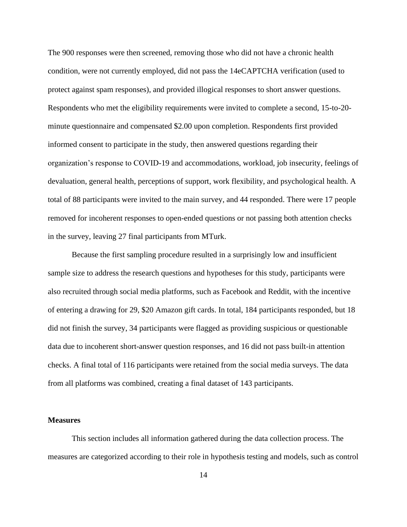The 900 responses were then screened, removing those who did not have a chronic health condition, were not currently employed, did not pass the 14eCAPTCHA verification (used to protect against spam responses), and provided illogical responses to short answer questions. Respondents who met the eligibility requirements were invited to complete a second, 15-to-20 minute questionnaire and compensated \$2.00 upon completion. Respondents first provided informed consent to participate in the study, then answered questions regarding their organization's response to COVID-19 and accommodations, workload, job insecurity, feelings of devaluation, general health, perceptions of support, work flexibility, and psychological health. A total of 88 participants were invited to the main survey, and 44 responded. There were 17 people removed for incoherent responses to open-ended questions or not passing both attention checks in the survey, leaving 27 final participants from MTurk.

Because the first sampling procedure resulted in a surprisingly low and insufficient sample size to address the research questions and hypotheses for this study, participants were also recruited through social media platforms, such as Facebook and Reddit, with the incentive of entering a drawing for 29, \$20 Amazon gift cards. In total, 184 participants responded, but 18 did not finish the survey, 34 participants were flagged as providing suspicious or questionable data due to incoherent short-answer question responses, and 16 did not pass built-in attention checks. A final total of 116 participants were retained from the social media surveys. The data from all platforms was combined, creating a final dataset of 143 participants.

#### **Measures**

This section includes all information gathered during the data collection process. The measures are categorized according to their role in hypothesis testing and models, such as control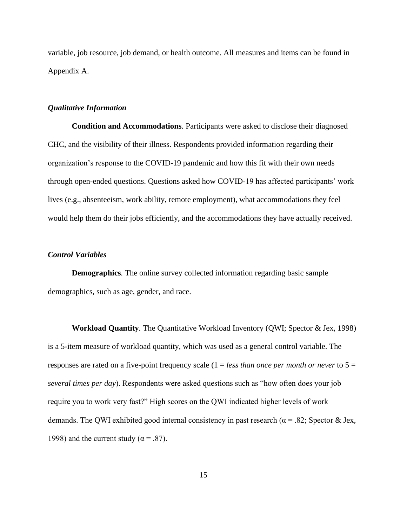variable, job resource, job demand, or health outcome. All measures and items can be found in Appendix A.

#### *Qualitative Information*

**Condition and Accommodations***.* Participants were asked to disclose their diagnosed CHC, and the visibility of their illness. Respondents provided information regarding their organization's response to the COVID-19 pandemic and how this fit with their own needs through open-ended questions. Questions asked how COVID-19 has affected participants' work lives (e.g., absenteeism, work ability, remote employment), what accommodations they feel would help them do their jobs efficiently, and the accommodations they have actually received.

#### *Control Variables*

**Demographics***.* The online survey collected information regarding basic sample demographics, such as age, gender, and race.

**Workload Quantity***.* The Quantitative Workload Inventory (QWI; Spector & Jex, 1998) is a 5-item measure of workload quantity, which was used as a general control variable. The responses are rated on a five-point frequency scale (1 = *less than once per month or never* to 5 = *several times per day*). Respondents were asked questions such as "how often does your job require you to work very fast?" High scores on the QWI indicated higher levels of work demands. The QWI exhibited good internal consistency in past research ( $\alpha$  = .82; Spector & Jex, 1998) and the current study ( $\alpha = .87$ ).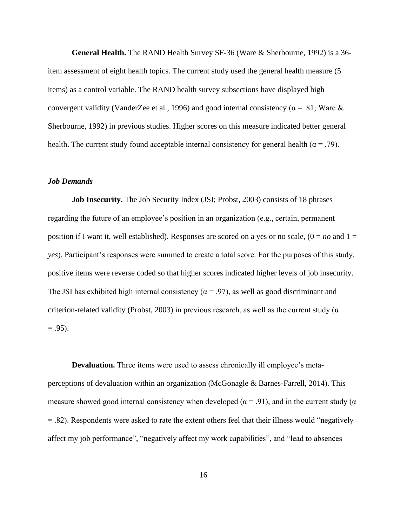**General Health.** The RAND Health Survey SF-36 (Ware & Sherbourne, 1992) is a 36 item assessment of eight health topics. The current study used the general health measure (5 items) as a control variable. The RAND health survey subsections have displayed high convergent validity (VanderZee et al., 1996) and good internal consistency ( $\alpha$  = .81; Ware & Sherbourne, 1992) in previous studies. Higher scores on this measure indicated better general health. The current study found acceptable internal consistency for general health ( $\alpha = .79$ ).

#### *Job Demands*

**Job Insecurity.** The Job Security Index (JSI; Probst, 2003) consists of 18 phrases regarding the future of an employee's position in an organization (e.g., certain, permanent position if I want it, well established). Responses are scored on a yes or no scale,  $(0 = no$  and  $1 =$ *yes*). Participant's responses were summed to create a total score. For the purposes of this study, positive items were reverse coded so that higher scores indicated higher levels of job insecurity. The JSI has exhibited high internal consistency ( $\alpha$  = .97), as well as good discriminant and criterion-related validity (Probst, 2003) in previous research, as well as the current study ( $\alpha$  $= .95$ ).

**Devaluation.** Three items were used to assess chronically ill employee's metaperceptions of devaluation within an organization (McGonagle & Barnes-Farrell, 2014). This measure showed good internal consistency when developed ( $\alpha$  = .91), and in the current study ( $\alpha$  $= 0.82$ ). Respondents were asked to rate the extent others feel that their illness would "negatively" affect my job performance", "negatively affect my work capabilities", and "lead to absences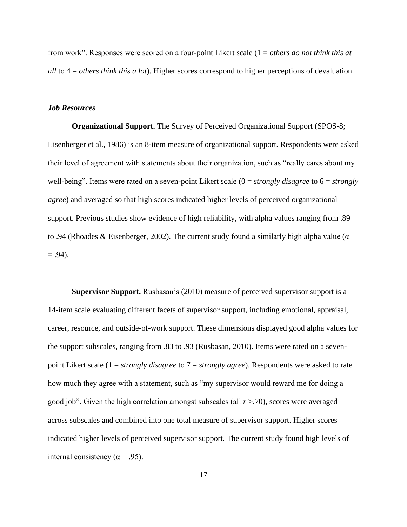from work". Responses were scored on a four-point Likert scale (1 = *others do not think this at all* to 4 = *others think this a lot*). Higher scores correspond to higher perceptions of devaluation.

#### *Job Resources*

**Organizational Support.** The Survey of Perceived Organizational Support (SPOS-8; Eisenberger et al., 1986) is an 8-item measure of organizational support. Respondents were asked their level of agreement with statements about their organization, such as "really cares about my well-being". Items were rated on a seven-point Likert scale (0 = *strongly disagree* to 6 = *strongly agree*) and averaged so that high scores indicated higher levels of perceived organizational support. Previous studies show evidence of high reliability, with alpha values ranging from .89 to .94 (Rhoades & Eisenberger, 2002). The current study found a similarly high alpha value (α  $= .94$ ).

**Supervisor Support.** Rusbasan's (2010) measure of perceived supervisor support is a 14-item scale evaluating different facets of supervisor support, including emotional, appraisal, career, resource, and outside-of-work support. These dimensions displayed good alpha values for the support subscales, ranging from .83 to .93 (Rusbasan, 2010). Items were rated on a sevenpoint Likert scale (1 = *strongly disagree* to 7 = *strongly agree*). Respondents were asked to rate how much they agree with a statement, such as "my supervisor would reward me for doing a good job". Given the high correlation amongst subscales (all *r* >.70), scores were averaged across subscales and combined into one total measure of supervisor support. Higher scores indicated higher levels of perceived supervisor support. The current study found high levels of internal consistency ( $\alpha$  = .95).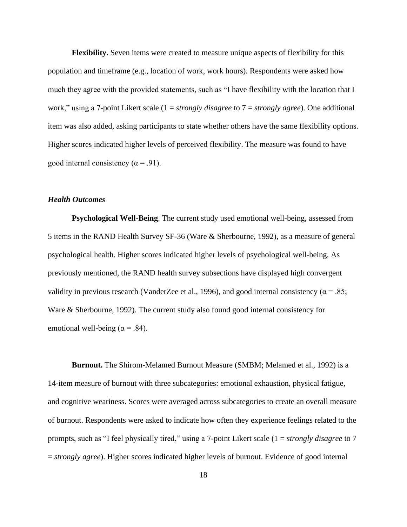**Flexibility.** Seven items were created to measure unique aspects of flexibility for this population and timeframe (e.g., location of work, work hours). Respondents were asked how much they agree with the provided statements, such as "I have flexibility with the location that I work," using a 7-point Likert scale (1 = *strongly disagree* to 7 = *strongly agree*). One additional item was also added, asking participants to state whether others have the same flexibility options. Higher scores indicated higher levels of perceived flexibility. The measure was found to have good internal consistency ( $\alpha$  = .91).

#### *Health Outcomes*

**Psychological Well-Being**. The current study used emotional well-being, assessed from 5 items in the RAND Health Survey SF-36 (Ware & Sherbourne, 1992), as a measure of general psychological health. Higher scores indicated higher levels of psychological well-being. As previously mentioned, the RAND health survey subsections have displayed high convergent validity in previous research (VanderZee et al., 1996), and good internal consistency ( $\alpha$  = .85; Ware & Sherbourne, 1992). The current study also found good internal consistency for emotional well-being ( $\alpha$  = .84).

**Burnout.** The Shirom-Melamed Burnout Measure (SMBM; Melamed et al., 1992) is a 14-item measure of burnout with three subcategories: emotional exhaustion, physical fatigue, and cognitive weariness. Scores were averaged across subcategories to create an overall measure of burnout. Respondents were asked to indicate how often they experience feelings related to the prompts, such as " feel physically tired," using a 7-point Likert scale (1 = *strongly disagree* to 7 = *strongly agree*). Higher scores indicated higher levels of burnout. Evidence of good internal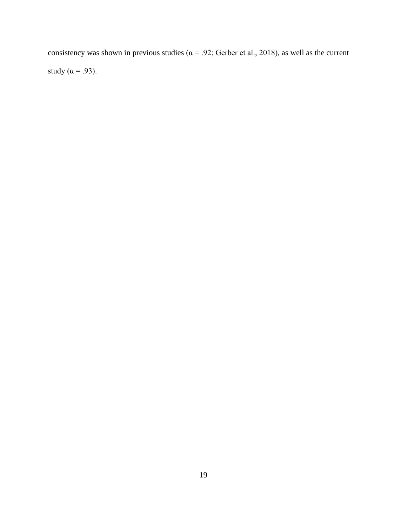consistency was shown in previous studies ( $\alpha$  = .92; Gerber et al., 2018), as well as the current study ( $\alpha$  = .93).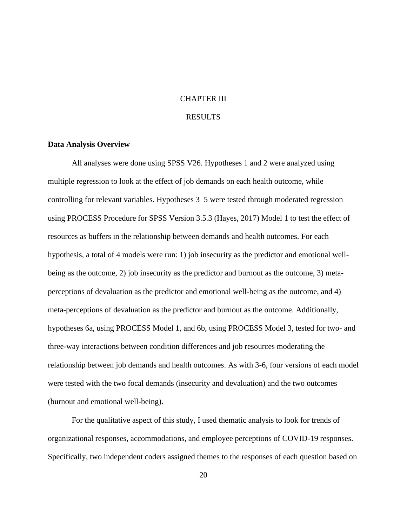#### CHAPTER III

#### RESULTS

#### **Data Analysis Overview**

All analyses were done using SPSS V26. Hypotheses 1 and 2 were analyzed using multiple regression to look at the effect of job demands on each health outcome, while controlling for relevant variables. Hypotheses 3–5 were tested through moderated regression using PROCESS Procedure for SPSS Version 3.5.3 (Hayes, 2017) Model 1 to test the effect of resources as buffers in the relationship between demands and health outcomes. For each hypothesis, a total of 4 models were run: 1) job insecurity as the predictor and emotional wellbeing as the outcome, 2) job insecurity as the predictor and burnout as the outcome, 3) metaperceptions of devaluation as the predictor and emotional well-being as the outcome, and 4) meta-perceptions of devaluation as the predictor and burnout as the outcome. Additionally, hypotheses 6a, using PROCESS Model 1, and 6b, using PROCESS Model 3, tested for two- and three-way interactions between condition differences and job resources moderating the relationship between job demands and health outcomes. As with 3-6, four versions of each model were tested with the two focal demands (insecurity and devaluation) and the two outcomes (burnout and emotional well-being).

For the qualitative aspect of this study, I used thematic analysis to look for trends of organizational responses, accommodations, and employee perceptions of COVID-19 responses. Specifically, two independent coders assigned themes to the responses of each question based on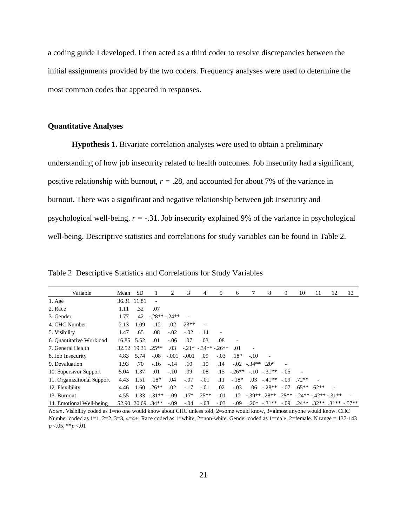a coding guide I developed. I then acted as a third coder to resolve discrepancies between the initial assignments provided by the two coders. Frequency analyses were used to determine the most common codes that appeared in responses.

#### **Quantitative Analyses**

**Hypothesis 1.** Bivariate correlation analyses were used to obtain a preliminary understanding of how job insecurity related to health outcomes. Job insecurity had a significant, positive relationship with burnout,  $r = .28$ , and accounted for about 7% of the variance in burnout. There was a significant and negative relationship between job insecurity and psychological well-being, *r =* -.31. Job insecurity explained 9% of the variance in psychological well-being. Descriptive statistics and correlations for study variables can be found in Table 2.

Variable Mean SD 1 2 3 4 5 6 7 8 9 10 11 12 13 1. Age 36.31 11.81 - 2. Race 1.11 .32 .07 3. Gender 1.77 .42 -.28\*\* -.24\*\* - 4. CHC Number 2.13 1.09 -.12 .02 .23\*\* - 5. Visibility 1.47 .65 .08 -.02 -.02 .14 6. Quantitative Workload 16.85 5.52 .01 -.06 .07 .03 .08 - 7. General Health 32.52 19.31 .25\*\* .03 -.21\* -.34\*\* -.26\*\* .01 - 8. Job Insecurity 4.83 5.74 -.08 -.001 -.001 .09 -.03 .18\* -.10 - 9. Devaluation 1.93 .70 -.16 -.14 .10 .10 .14 -.02 -.34\*\* .20\* - 10. Supersivor Support 5.04 1.37 .01 -.10 .09 .08 .15 -.26\*\* -.10 -.31\*\* -.05 - 11. Organizational Support 4.43 1.51 .18\* .04 -.07 -.01 .11 -.18\* .03 -.41\*\* -.09 .72\*\* - 12. Flexibility 4.46 1.60 .26\*\* .02 -.17 -.01 .02 -.03 .06 -.28\*\* -.07 .65\*\* .62\*\* - 13. Burnout 4.55 1.33 -.31\*\* -.09  $.17*$   $.25**$  -.01  $.12$   $-39**$   $.28**$   $.25**$   $-24**$   $-42**$   $-31**$ 14. Emotional Well-being 52.90 20.69 .34\*\* -.09 -.04 -.08 -.03 -.09 .20\* -.31\*\* -.09 .24\*\* .32\*\* .31\*\* -.57\*\*

Table 2 Descriptive Statistics and Correlations for Study Variables

*p* <.05, \*\**p* <.01 *Notes*. Visibility coded as 1=no one would know about CHC unless told, 2=some would know, 3=almost anyone would know. CHC Number coded as  $1=1$ ,  $2=2$ ,  $3=3$ ,  $4=4+$ . Race coded as  $1=$ white,  $2=$ non-white. Gender coded as  $1=$ male,  $2=$ female. N range = 137-143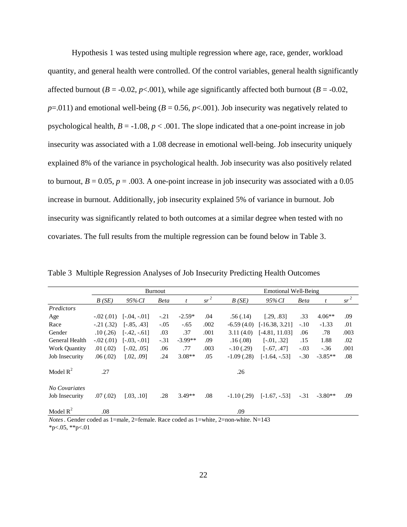Hypothesis 1 was tested using multiple regression where age, race, gender, workload quantity, and general health were controlled. Of the control variables, general health significantly affected burnout ( $B = -0.02$ ,  $p < .001$ ), while age significantly affected both burnout ( $B = -0.02$ ,  $p=0.011$ ) and emotional well-being ( $B=0.56$ ,  $p<0.01$ ). Job insecurity was negatively related to psychological health,  $B = -1.08$ ,  $p < .001$ . The slope indicated that a one-point increase in job insecurity was associated with a 1.08 decrease in emotional well-being. Job insecurity uniquely explained 8% of the variance in psychological health. Job insecurity was also positively related to burnout,  $B = 0.05$ ,  $p = .003$ . A one-point increase in job insecurity was associated with a 0.05 increase in burnout. Additionally, job insecurity explained 5% of variance in burnout. Job insecurity was significantly related to both outcomes at a similar degree when tested with no covariates. The full results from the multiple regression can be found below in Table 3.

|                                 |               |                | Burnout     |           |        |               | Emotional Well-Being |             |           |        |  |
|---------------------------------|---------------|----------------|-------------|-----------|--------|---------------|----------------------|-------------|-----------|--------|--|
|                                 | B(SE)         | 95% CI         | <b>Beta</b> | t         | $sr^2$ | B(SE)         | 95% CI               | <b>Beta</b> | t         | $sr^2$ |  |
| Predictors                      |               |                |             |           |        |               |                      |             |           |        |  |
| Age                             | $-0.02(0.01)$ | $[-.04, -.01]$ | $-.21$      | $-2.59*$  | .04    | .56(.14)      | [.29, .83]           | .33         | $4.06**$  | .09    |  |
| Race                            | $-0.21(0.32)$ | $[-.85, .43]$  | $-.05$      | $-.65$    | .002   | $-6.59(4.0)$  | $[-16.38, 3.21]$     | $-.10$      | $-1.33$   | .01    |  |
| Gender                          | .10(.26)      | $[-.42, -.61]$ | .03         | .37       | .001   | 3.11(4.0)     | $[-4.81, 11.03]$     | .06         | .78       | .003   |  |
| General Health                  | $-0.02(0.01)$ | $[-.03, -.01]$ | $-.31$      | $-3.99**$ | .09    | .16(.08)      | $[-.01, .32]$        | .15         | 1.88      | .02    |  |
| <b>Work Quantity</b>            | .01(.02)      | $[-.02, .05]$  | .06         | .77       | .003   | $-10(0.29)$   | $[-.67, .47]$        | $-.03$      | $-.36$    | .001   |  |
| Job Insecurity                  | .06(.02)      | [.02, .09]     | .24         | $3.08**$  | .05    | $-1.09$ (.28) | $[-1.64, -0.53]$     | $-.30$      | $-3.85**$ | .08    |  |
| Model $R^2$                     | .27           |                |             |           |        | .26           |                      |             |           |        |  |
| No Covariates<br>Job Insecurity | .07(.02)      | [.03, .10]     | .28         | $3.49**$  | .08    | $-1.10$ (.29) | $[-1.67, -.53]$      | $-.31$      | $-3.80**$ | .09    |  |
| Model $R^2$                     | .08           |                |             |           |        | .09           |                      |             |           |        |  |

Table 3 Multiple Regression Analyses of Job Insecurity Predicting Health Outcomes

 $*p<.05$ ,  $*p<.01$ *Notes*. Gender coded as 1=male, 2=female. Race coded as 1=white, 2=non-white. N=143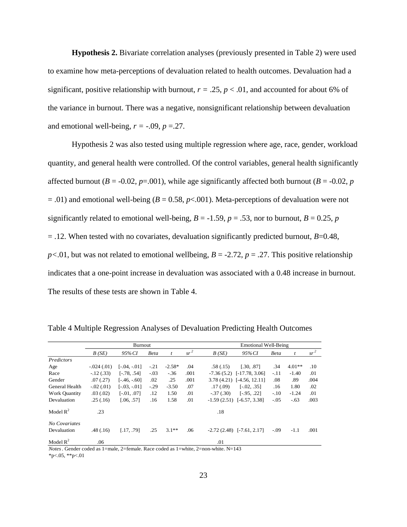**Hypothesis 2.** Bivariate correlation analyses (previously presented in Table 2) were used to examine how meta-perceptions of devaluation related to health outcomes. Devaluation had a significant, positive relationship with burnout,  $r = .25$ ,  $p < .01$ , and accounted for about 6% of the variance in burnout. There was a negative, nonsignificant relationship between devaluation and emotional well-being,  $r = -0.09$ ,  $p = 0.27$ .

Hypothesis 2 was also tested using multiple regression where age, race, gender, workload quantity, and general health were controlled. Of the control variables, general health significantly affected burnout ( $B = -0.02$ ,  $p = .001$ ), while age significantly affected both burnout ( $B = -0.02$ ,  $p$ )  $= .01$ ) and emotional well-being ( $B = 0.58$ ,  $p < .001$ ). Meta-perceptions of devaluation were not significantly related to emotional well-being,  $B = -1.59$ ,  $p = .53$ , nor to burnout,  $B = 0.25$ ,  $p = 0.25$  $=$  .12. When tested with no covariates, devaluation significantly predicted burnout,  $B=0.48$ ,  $p<.01$ , but was not related to emotional wellbeing,  $B = -2.72$ ,  $p = .27$ . This positive relationship indicates that a one-point increase in devaluation was associated with a 0.48 increase in burnout. The results of these tests are shown in Table 4.

|                      |               | Burnout       |             |          |        | <b>Emotional Well-Being</b> |                                 |        |          |        |
|----------------------|---------------|---------------|-------------|----------|--------|-----------------------------|---------------------------------|--------|----------|--------|
|                      | B(SE)         | 95%CI         | <b>Beta</b> | t        | $sr^2$ | B(SE)                       | 95% CI                          | Beta   | t        | $sr^2$ |
| Predictors           |               |               |             |          |        |                             |                                 |        |          |        |
| Age                  | $-.024(.01)$  | [-.04. -.01]  | $-.21$      | $-2.58*$ | .04    | .58(.15)                    | [.30, .87]                      | .34    | $4.01**$ | .10    |
| Race                 | $-12(0.33)$   | $[-.78, .54]$ | $-.03$      | $-.36$   | .001   |                             | $-7.36(5.2)$ [ $-17.78, 3.06$ ] | $-.11$ | $-1.40$  | .01    |
| Gender               | .07(0.27)     | $[-46, -60]$  | .02         | .25      | .001   |                             | $3.78(4.21)$ [-4.56, 12.11]     | .08    | .89      | .004   |
| General Health       | $-0.02(0.01)$ | $[-03, -01]$  | $-.29$      | $-3.50$  | .07    | .17(0.09)                   | $[-.02, .35]$                   | .16    | 1.80     | .02    |
| <b>Work Quantity</b> | .03(0.02)     | $[-.01, .07]$ | .12         | 1.50     | .01    | $-37(0.30)$                 | $[-.95, .22]$                   | $-.10$ | $-1.24$  | .01    |
| Devaluation          | .25(.16)      | [.06, .57]    | .16         | 1.58     | .01    |                             | $-1.59(2.51)$ $[-6.57, 3.38]$   | $-.05$ | $-.63$   | .003   |
| Model $R^2$          | .23           |               |             |          |        | .18                         |                                 |        |          |        |
| No Covariates        |               |               |             |          |        |                             |                                 |        |          |        |
| Devaluation          | .48(.16)      | [.17, .79]    | .25         | $3.1**$  | .06    |                             | $-2.72(2.48)$ [ $-7.61, 2.17$ ] | $-.09$ | $-1.1$   | .001   |
| Model $R^2$          | .06           |               |             |          |        | .01                         |                                 |        |          |        |

Table 4 Multiple Regression Analyses of Devaluation Predicting Health Outcomes

*Notes*. Gender coded as 1=male, 2=female. Race coded as 1=white, 2=non-white. N=143

 $*p<.05$ ,  $*p<.01$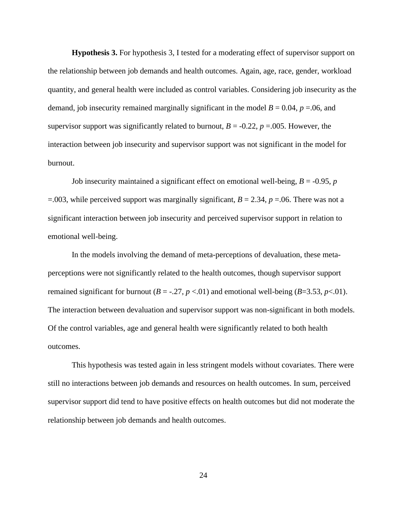**Hypothesis 3.** For hypothesis 3, I tested for a moderating effect of supervisor support on the relationship between job demands and health outcomes. Again, age, race, gender, workload quantity, and general health were included as control variables. Considering job insecurity as the demand, job insecurity remained marginally significant in the model  $B = 0.04$ ,  $p = 0.06$ , and supervisor support was significantly related to burnout,  $B = -0.22$ ,  $p = .005$ . However, the interaction between job insecurity and supervisor support was not significant in the model for burnout.

Job insecurity maintained a significant effect on emotional well-being,  $B = -0.95$ ,  $p$  $=$ .003, while perceived support was marginally significant, *B* = 2.34, *p* = 06. There was not a significant interaction between job insecurity and perceived supervisor support in relation to emotional well-being.

In the models involving the demand of meta-perceptions of devaluation, these metaperceptions were not significantly related to the health outcomes, though supervisor support remained significant for burnout  $(B = -0.27, p < 0.01)$  and emotional well-being  $(B = 3.53, p < 0.01)$ . The interaction between devaluation and supervisor support was non-significant in both models. Of the control variables, age and general health were significantly related to both health outcomes.

This hypothesis was tested again in less stringent models without covariates. There were still no interactions between job demands and resources on health outcomes. In sum, perceived supervisor support did tend to have positive effects on health outcomes but did not moderate the relationship between job demands and health outcomes.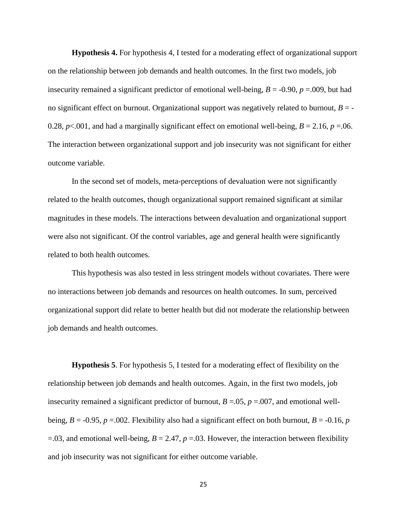**Hypothesis 4.** For hypothesis 4, I tested for a moderating effect of organizational support on the relationship between job demands and health outcomes. In the first two models, job insecurity remained a significant predictor of emotional well-being,  $B = -0.90$ ,  $p = .009$ , but had no significant effect on burnout. Organizational support was negatively related to burnout,  $B = -$ 0.28,  $p<.001$ , and had a marginally significant effect on emotional well-being,  $B = 2.16$ ,  $p = .06$ . The interaction between organizational support and job insecurity was not significant for either outcome variable.

In the second set of models, meta-perceptions of devaluation were not significantly related to the health outcomes, though organizational support remained significant at similar magnitudes in these models. The interactions between devaluation and organizational support were also not significant. Of the control variables, age and general health were significantly related to both health outcomes.

This hypothesis was also tested in less stringent models without covariates. There were no interactions between job demands and resources on health outcomes. In sum, perceived organizational support did relate to better health but did not moderate the relationship between job demands and health outcomes.

**Hypothesis 5**. For hypothesis 5, I tested for a moderating effect of flexibility on the relationship between job demands and health outcomes. Again, in the first two models, job insecurity remained a significant predictor of burnout,  $B = .05$ ,  $p = .007$ , and emotional wellbeing,  $B = -0.95$ ,  $p = .002$ . Flexibility also had a significant effect on both burnout,  $B = -0.16$ ,  $p$  $=$ .03, and emotional well-being, *B* = 2.47, *p* = 03. However, the interaction between flexibility and job insecurity was not significant for either outcome variable.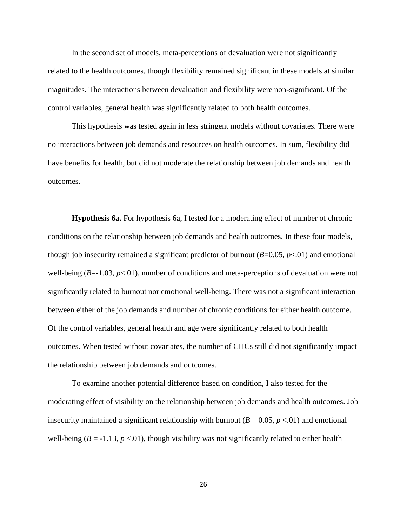In the second set of models, meta-perceptions of devaluation were not significantly related to the health outcomes, though flexibility remained significant in these models at similar magnitudes. The interactions between devaluation and flexibility were non-significant. Of the control variables, general health was significantly related to both health outcomes.

This hypothesis was tested again in less stringent models without covariates. There were no interactions between job demands and resources on health outcomes. In sum, flexibility did have benefits for health, but did not moderate the relationship between job demands and health outcomes.

**Hypothesis 6a.** For hypothesis 6a, I tested for a moderating effect of number of chronic conditions on the relationship between job demands and health outcomes. In these four models, though job insecurity remained a significant predictor of burnout  $(B=0.05, p<0.01)$  and emotional well-being  $(B=-1.03, p<0.01)$ , number of conditions and meta-perceptions of devaluation were not significantly related to burnout nor emotional well-being. There was not a significant interaction between either of the job demands and number of chronic conditions for either health outcome. Of the control variables, general health and age were significantly related to both health outcomes. When tested without covariates, the number of CHCs still did not significantly impact the relationship between job demands and outcomes.

To examine another potential difference based on condition, I also tested for the moderating effect of visibility on the relationship between job demands and health outcomes. Job insecurity maintained a significant relationship with burnout  $(B = 0.05, p < 0.01)$  and emotional well-being ( $B = -1.13$ ,  $p < 0.01$ ), though visibility was not significantly related to either health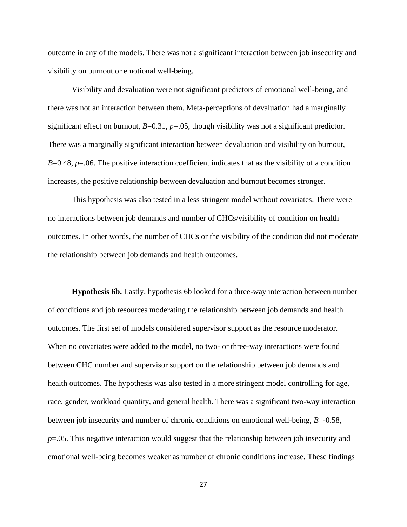outcome in any of the models. There was not a significant interaction between job insecurity and visibility on burnout or emotional well-being.

Visibility and devaluation were not significant predictors of emotional well-being, and there was not an interaction between them. Meta-perceptions of devaluation had a marginally significant effect on burnout, *B*=0.31, *p*=.05, though visibility was not a significant predictor. There was a marginally significant interaction between devaluation and visibility on burnout, *B*=0.48, *p*=.06. The positive interaction coefficient indicates that as the visibility of a condition increases, the positive relationship between devaluation and burnout becomes stronger.

This hypothesis was also tested in a less stringent model without covariates. There were no interactions between job demands and number of CHCs/visibility of condition on health outcomes. In other words, the number of CHCs or the visibility of the condition did not moderate the relationship between job demands and health outcomes.

**Hypothesis 6b.** Lastly, hypothesis 6b looked for a three-way interaction between number of conditions and job resources moderating the relationship between job demands and health outcomes. The first set of models considered supervisor support as the resource moderator. When no covariates were added to the model, no two- or three-way interactions were found between CHC number and supervisor support on the relationship between job demands and health outcomes. The hypothesis was also tested in a more stringent model controlling for age, race, gender, workload quantity, and general health. There was a significant two-way interaction between job insecurity and number of chronic conditions on emotional well-being, *B*=-0.58, *p*=.05. This negative interaction would suggest that the relationship between job insecurity and emotional well-being becomes weaker as number of chronic conditions increase. These findings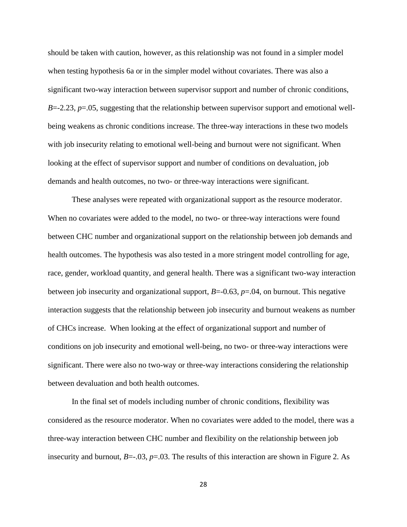should be taken with caution, however, as this relationship was not found in a simpler model when testing hypothesis 6a or in the simpler model without covariates. There was also a significant two-way interaction between supervisor support and number of chronic conditions,  $B = -2.23$ ,  $p = .05$ , suggesting that the relationship between supervisor support and emotional wellbeing weakens as chronic conditions increase. The three-way interactions in these two models with job insecurity relating to emotional well-being and burnout were not significant. When looking at the effect of supervisor support and number of conditions on devaluation, job demands and health outcomes, no two- or three-way interactions were significant.

These analyses were repeated with organizational support as the resource moderator. When no covariates were added to the model, no two- or three-way interactions were found between CHC number and organizational support on the relationship between job demands and health outcomes. The hypothesis was also tested in a more stringent model controlling for age, race, gender, workload quantity, and general health. There was a significant two-way interaction between job insecurity and organizational support, *B*=-0.63, *p*=.04, on burnout. This negative interaction suggests that the relationship between job insecurity and burnout weakens as number of CHCs increase. When looking at the effect of organizational support and number of conditions on job insecurity and emotional well-being, no two- or three-way interactions were significant. There were also no two-way or three-way interactions considering the relationship between devaluation and both health outcomes.

In the final set of models including number of chronic conditions, flexibility was considered as the resource moderator. When no covariates were added to the model, there was a three-way interaction between CHC number and flexibility on the relationship between job insecurity and burnout,  $B = -0.03$ ,  $p = 0.03$ . The results of this interaction are shown in Figure 2. As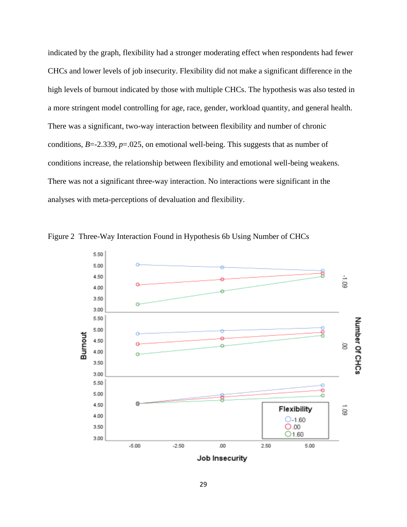indicated by the graph, flexibility had a stronger moderating effect when respondents had fewer CHCs and lower levels of job insecurity. Flexibility did not make a significant difference in the high levels of burnout indicated by those with multiple CHCs. The hypothesis was also tested in a more stringent model controlling for age, race, gender, workload quantity, and general health. There was a significant, two-way interaction between flexibility and number of chronic conditions, *B*=-2.339, *p*=.025, on emotional well-being. This suggests that as number of conditions increase, the relationship between flexibility and emotional well-being weakens. There was not a significant three-way interaction. No interactions were significant in the analyses with meta-perceptions of devaluation and flexibility.



Figure 2 Three-Way Interaction Found in Hypothesis 6b Using Number of CHCs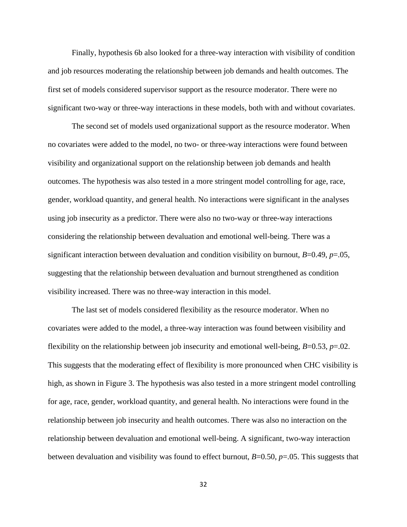Finally, hypothesis 6b also looked for a three-way interaction with visibility of condition and job resources moderating the relationship between job demands and health outcomes. The first set of models considered supervisor support as the resource moderator. There were no significant two-way or three-way interactions in these models, both with and without covariates.

The second set of models used organizational support as the resource moderator. When no covariates were added to the model, no two- or three-way interactions were found between visibility and organizational support on the relationship between job demands and health outcomes. The hypothesis was also tested in a more stringent model controlling for age, race, gender, workload quantity, and general health. No interactions were significant in the analyses using job insecurity as a predictor. There were also no two-way or three-way interactions considering the relationship between devaluation and emotional well-being. There was a significant interaction between devaluation and condition visibility on burnout,  $B=0.49$ ,  $p=.05$ , suggesting that the relationship between devaluation and burnout strengthened as condition visibility increased. There was no three-way interaction in this model.

The last set of models considered flexibility as the resource moderator. When no covariates were added to the model, a three-way interaction was found between visibility and flexibility on the relationship between job insecurity and emotional well-being, *B*=0.53, *p*=.02. This suggests that the moderating effect of flexibility is more pronounced when CHC visibility is high, as shown in Figure 3. The hypothesis was also tested in a more stringent model controlling for age, race, gender, workload quantity, and general health. No interactions were found in the relationship between job insecurity and health outcomes. There was also no interaction on the relationship between devaluation and emotional well-being. A significant, two-way interaction between devaluation and visibility was found to effect burnout, *B*=0.50, *p*=.05. This suggests that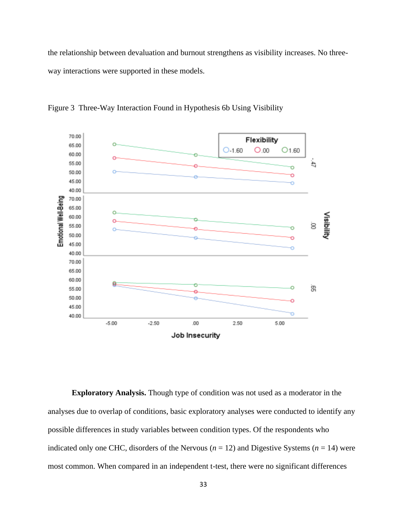the relationship between devaluation and burnout strengthens as visibility increases. No threeway interactions were supported in these models.



Figure 3 Three-Way Interaction Found in Hypothesis 6b Using Visibility

**Exploratory Analysis.** Though type of condition was not used as a moderator in the analyses due to overlap of conditions, basic exploratory analyses were conducted to identify any possible differences in study variables between condition types. Of the respondents who indicated only one CHC, disorders of the Nervous ( $n = 12$ ) and Digestive Systems ( $n = 14$ ) were most common. When compared in an independent t-test, there were no significant differences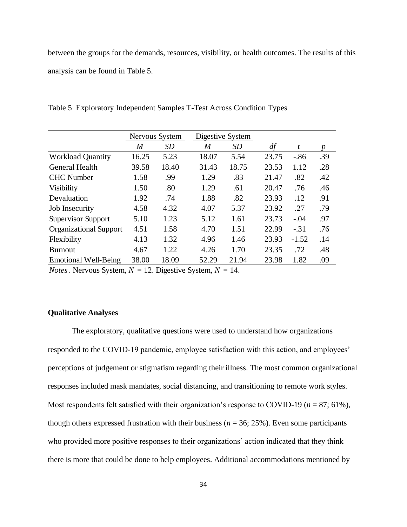between the groups for the demands, resources, visibility, or health outcomes. The results of this analysis can be found in Table 5.

|                               |       | Nervous System |                  | Digestive System |       |         |     |
|-------------------------------|-------|----------------|------------------|------------------|-------|---------|-----|
|                               | M     | SD             | $\boldsymbol{M}$ | SD               | df    | t       | D   |
| <b>Workload Quantity</b>      | 16.25 | 5.23           | 18.07            | 5.54             | 23.75 | $-.86$  | .39 |
| <b>General Health</b>         | 39.58 | 18.40          | 31.43            | 18.75            | 23.53 | 1.12    | .28 |
| <b>CHC</b> Number             | 1.58  | .99            | 1.29             | .83              | 21.47 | .82     | .42 |
| <b>Visibility</b>             | 1.50  | .80            | 1.29             | .61              | 20.47 | .76     | .46 |
| Devaluation                   | 1.92  | .74            | 1.88             | .82              | 23.93 | .12     | .91 |
| Job Insecurity                | 4.58  | 4.32           | 4.07             | 5.37             | 23.92 | .27     | .79 |
| Supervisor Support            | 5.10  | 1.23           | 5.12             | 1.61             | 23.73 | $-.04$  | .97 |
| <b>Organizational Support</b> | 4.51  | 1.58           | 4.70             | 1.51             | 22.99 | $-.31$  | .76 |
| Flexibility                   | 4.13  | 1.32           | 4.96             | 1.46             | 23.93 | $-1.52$ | .14 |
| <b>Burnout</b>                | 4.67  | 1.22           | 4.26             | 1.70             | 23.35 | .72     | .48 |
| <b>Emotional Well-Being</b>   | 38.00 | 18.09          | 52.29            | 21.94            | 23.98 | 1.82    | .09 |

Table 5 Exploratory Independent Samples T-Test Across Condition Types

*Notes*. Nervous System,  $N = 12$ . Digestive System,  $N = 14$ .

#### **Qualitative Analyses**

The exploratory, qualitative questions were used to understand how organizations responded to the COVID-19 pandemic, employee satisfaction with this action, and employees' perceptions of judgement or stigmatism regarding their illness. The most common organizational responses included mask mandates, social distancing, and transitioning to remote work styles. Most respondents felt satisfied with their organization's response to COVID-19 ( $n = 87$ ; 61%), though others expressed frustration with their business ( $n = 36$ ; 25%). Even some participants who provided more positive responses to their organizations' action indicated that they think there is more that could be done to help employees. Additional accommodations mentioned by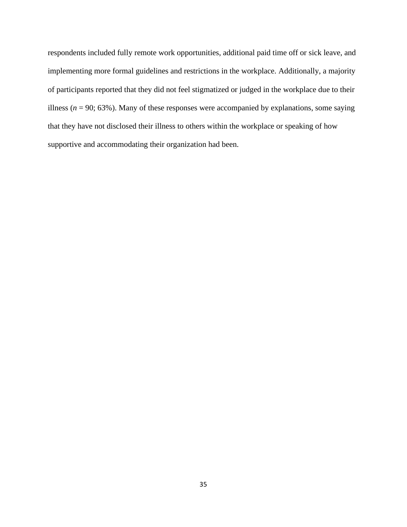respondents included fully remote work opportunities, additional paid time off or sick leave, and implementing more formal guidelines and restrictions in the workplace. Additionally, a majority of participants reported that they did not feel stigmatized or judged in the workplace due to their illness ( $n = 90$ ; 63%). Many of these responses were accompanied by explanations, some saying that they have not disclosed their illness to others within the workplace or speaking of how supportive and accommodating their organization had been.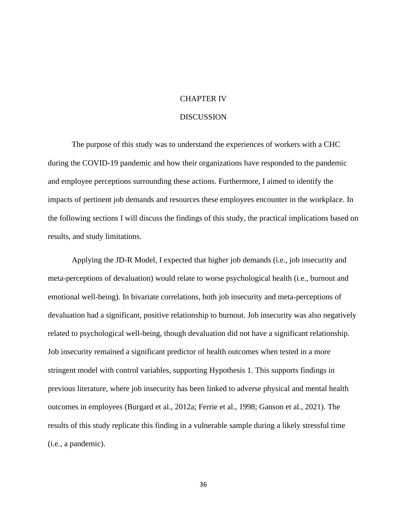#### CHAPTER IV

#### DISCUSSION

The purpose of this study was to understand the experiences of workers with a CHC during the COVID-19 pandemic and how their organizations have responded to the pandemic and employee perceptions surrounding these actions. Furthermore, I aimed to identify the impacts of pertinent job demands and resources these employees encounter in the workplace. In the following sections I will discuss the findings of this study, the practical implications based on results, and study limitations.

Applying the JD-R Model, I expected that higher job demands (i.e., job insecurity and meta-perceptions of devaluation) would relate to worse psychological health (i.e., burnout and emotional well-being). In bivariate correlations, both job insecurity and meta-perceptions of devaluation had a significant, positive relationship to burnout. Job insecurity was also negatively related to psychological well-being, though devaluation did not have a significant relationship. Job insecurity remained a significant predictor of health outcomes when tested in a more stringent model with control variables, supporting Hypothesis 1. This supports findings in previous literature, where job insecurity has been linked to adverse physical and mental health outcomes in employees (Burgard et al., 2012a; Ferrie et al., 1998; Ganson et al., 2021). The results of this study replicate this finding in a vulnerable sample during a likely stressful time (i.e., a pandemic).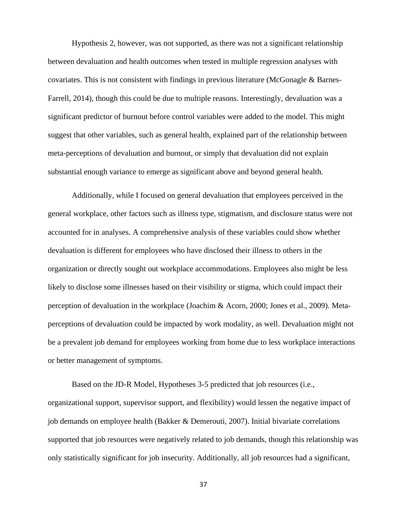Hypothesis 2, however, was not supported, as there was not a significant relationship between devaluation and health outcomes when tested in multiple regression analyses with covariates. This is not consistent with findings in previous literature (McGonagle & Barnes-Farrell, 2014), though this could be due to multiple reasons. Interestingly, devaluation was a significant predictor of burnout before control variables were added to the model. This might suggest that other variables, such as general health, explained part of the relationship between meta-perceptions of devaluation and burnout, or simply that devaluation did not explain substantial enough variance to emerge as significant above and beyond general health.

Additionally, while I focused on general devaluation that employees perceived in the general workplace, other factors such as illness type, stigmatism, and disclosure status were not accounted for in analyses. A comprehensive analysis of these variables could show whether devaluation is different for employees who have disclosed their illness to others in the organization or directly sought out workplace accommodations. Employees also might be less likely to disclose some illnesses based on their visibility or stigma, which could impact their perception of devaluation in the workplace (Joachim & Acorn, 2000; Jones et al., 2009). Metaperceptions of devaluation could be impacted by work modality, as well. Devaluation might not be a prevalent job demand for employees working from home due to less workplace interactions or better management of symptoms.

Based on the JD-R Model, Hypotheses 3-5 predicted that job resources (i.e., organizational support, supervisor support, and flexibility) would lessen the negative impact of job demands on employee health (Bakker & Demerouti, 2007). Initial bivariate correlations supported that job resources were negatively related to job demands, though this relationship was only statistically significant for job insecurity. Additionally, all job resources had a significant,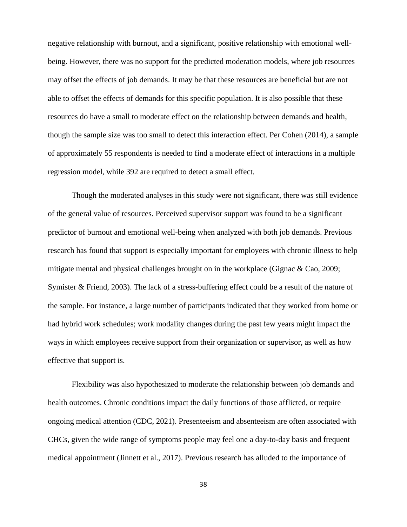negative relationship with burnout, and a significant, positive relationship with emotional wellbeing. However, there was no support for the predicted moderation models, where job resources may offset the effects of job demands. It may be that these resources are beneficial but are not able to offset the effects of demands for this specific population. It is also possible that these resources do have a small to moderate effect on the relationship between demands and health, though the sample size was too small to detect this interaction effect. Per Cohen (2014), a sample of approximately 55 respondents is needed to find a moderate effect of interactions in a multiple regression model, while 392 are required to detect a small effect.

Though the moderated analyses in this study were not significant, there was still evidence of the general value of resources. Perceived supervisor support was found to be a significant predictor of burnout and emotional well-being when analyzed with both job demands. Previous research has found that support is especially important for employees with chronic illness to help mitigate mental and physical challenges brought on in the workplace (Gignac  $\&$  Cao, 2009; Symister & Friend, 2003). The lack of a stress-buffering effect could be a result of the nature of the sample. For instance, a large number of participants indicated that they worked from home or had hybrid work schedules; work modality changes during the past few years might impact the ways in which employees receive support from their organization or supervisor, as well as how effective that support is.

Flexibility was also hypothesized to moderate the relationship between job demands and health outcomes. Chronic conditions impact the daily functions of those afflicted, or require ongoing medical attention (CDC, 2021). Presenteeism and absenteeism are often associated with CHCs, given the wide range of symptoms people may feel one a day-to-day basis and frequent medical appointment (Jinnett et al., 2017). Previous research has alluded to the importance of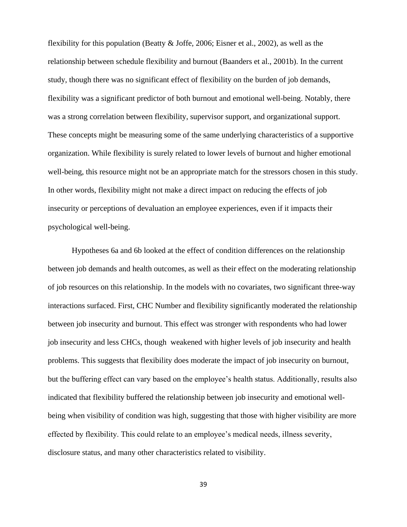flexibility for this population (Beatty & Joffe, 2006; Eisner et al., 2002), as well as the relationship between schedule flexibility and burnout (Baanders et al., 2001b). In the current study, though there was no significant effect of flexibility on the burden of job demands, flexibility was a significant predictor of both burnout and emotional well-being. Notably, there was a strong correlation between flexibility, supervisor support, and organizational support. These concepts might be measuring some of the same underlying characteristics of a supportive organization. While flexibility is surely related to lower levels of burnout and higher emotional well-being, this resource might not be an appropriate match for the stressors chosen in this study. In other words, flexibility might not make a direct impact on reducing the effects of job insecurity or perceptions of devaluation an employee experiences, even if it impacts their psychological well-being.

Hypotheses 6a and 6b looked at the effect of condition differences on the relationship between job demands and health outcomes, as well as their effect on the moderating relationship of job resources on this relationship. In the models with no covariates, two significant three-way interactions surfaced. First, CHC Number and flexibility significantly moderated the relationship between job insecurity and burnout. This effect was stronger with respondents who had lower job insecurity and less CHCs, though weakened with higher levels of job insecurity and health problems. This suggests that flexibility does moderate the impact of job insecurity on burnout, but the buffering effect can vary based on the employee's health status. Additionally, results also indicated that flexibility buffered the relationship between job insecurity and emotional wellbeing when visibility of condition was high, suggesting that those with higher visibility are more effected by flexibility. This could relate to an employee's medical needs, illness severity, disclosure status, and many other characteristics related to visibility.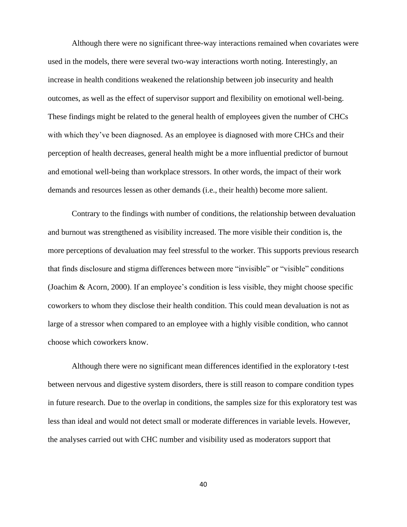Although there were no significant three-way interactions remained when covariates were used in the models, there were several two-way interactions worth noting. Interestingly, an increase in health conditions weakened the relationship between job insecurity and health outcomes, as well as the effect of supervisor support and flexibility on emotional well-being. These findings might be related to the general health of employees given the number of CHCs with which they've been diagnosed. As an employee is diagnosed with more CHCs and their perception of health decreases, general health might be a more influential predictor of burnout and emotional well-being than workplace stressors. In other words, the impact of their work demands and resources lessen as other demands (i.e., their health) become more salient.

Contrary to the findings with number of conditions, the relationship between devaluation and burnout was strengthened as visibility increased. The more visible their condition is, the more perceptions of devaluation may feel stressful to the worker. This supports previous research that finds disclosure and stigma differences between more "invisible" or "visible" conditions (Joachim & Acorn, 2000). If an employee's condition is less visible, they might choose specific coworkers to whom they disclose their health condition. This could mean devaluation is not as large of a stressor when compared to an employee with a highly visible condition, who cannot choose which coworkers know.

Although there were no significant mean differences identified in the exploratory t-test between nervous and digestive system disorders, there is still reason to compare condition types in future research. Due to the overlap in conditions, the samples size for this exploratory test was less than ideal and would not detect small or moderate differences in variable levels. However, the analyses carried out with CHC number and visibility used as moderators support that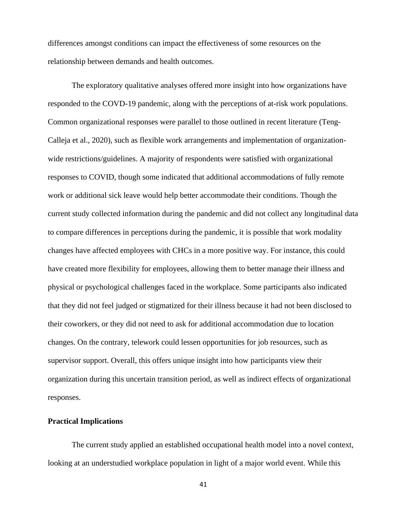differences amongst conditions can impact the effectiveness of some resources on the relationship between demands and health outcomes.

The exploratory qualitative analyses offered more insight into how organizations have responded to the COVD-19 pandemic, along with the perceptions of at-risk work populations. Common organizational responses were parallel to those outlined in recent literature (Teng-Calleja et al., 2020), such as flexible work arrangements and implementation of organizationwide restrictions/guidelines. A majority of respondents were satisfied with organizational responses to COVID, though some indicated that additional accommodations of fully remote work or additional sick leave would help better accommodate their conditions. Though the current study collected information during the pandemic and did not collect any longitudinal data to compare differences in perceptions during the pandemic, it is possible that work modality changes have affected employees with CHCs in a more positive way. For instance, this could have created more flexibility for employees, allowing them to better manage their illness and physical or psychological challenges faced in the workplace. Some participants also indicated that they did not feel judged or stigmatized for their illness because it had not been disclosed to their coworkers, or they did not need to ask for additional accommodation due to location changes. On the contrary, telework could lessen opportunities for job resources, such as supervisor support. Overall, this offers unique insight into how participants view their organization during this uncertain transition period, as well as indirect effects of organizational responses.

#### **Practical Implications**

The current study applied an established occupational health model into a novel context, looking at an understudied workplace population in light of a major world event. While this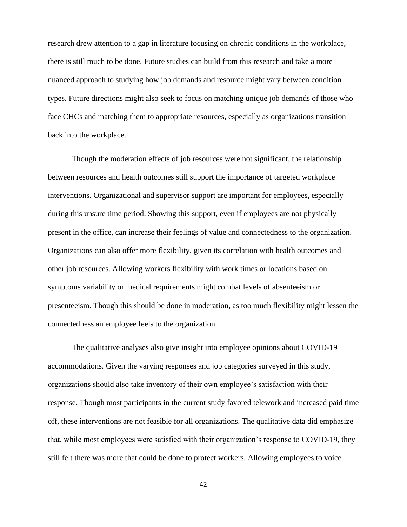research drew attention to a gap in literature focusing on chronic conditions in the workplace, there is still much to be done. Future studies can build from this research and take a more nuanced approach to studying how job demands and resource might vary between condition types. Future directions might also seek to focus on matching unique job demands of those who face CHCs and matching them to appropriate resources, especially as organizations transition back into the workplace.

Though the moderation effects of job resources were not significant, the relationship between resources and health outcomes still support the importance of targeted workplace interventions. Organizational and supervisor support are important for employees, especially during this unsure time period. Showing this support, even if employees are not physically present in the office, can increase their feelings of value and connectedness to the organization. Organizations can also offer more flexibility, given its correlation with health outcomes and other job resources. Allowing workers flexibility with work times or locations based on symptoms variability or medical requirements might combat levels of absenteeism or presenteeism. Though this should be done in moderation, as too much flexibility might lessen the connectedness an employee feels to the organization.

The qualitative analyses also give insight into employee opinions about COVID-19 accommodations. Given the varying responses and job categories surveyed in this study, organizations should also take inventory of their own employee's satisfaction with their response. Though most participants in the current study favored telework and increased paid time off, these interventions are not feasible for all organizations. The qualitative data did emphasize that, while most employees were satisfied with their organization's response to COVID-19, they still felt there was more that could be done to protect workers. Allowing employees to voice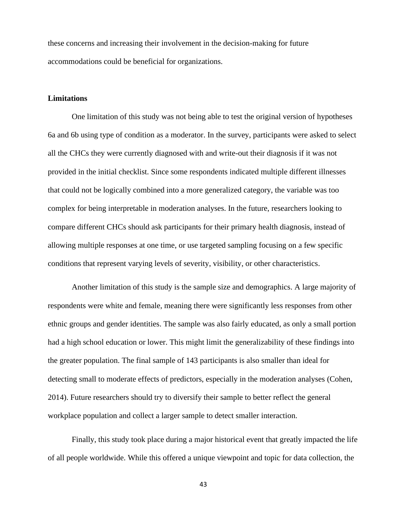these concerns and increasing their involvement in the decision-making for future accommodations could be beneficial for organizations.

#### **Limitations**

One limitation of this study was not being able to test the original version of hypotheses 6a and 6b using type of condition as a moderator. In the survey, participants were asked to select all the CHCs they were currently diagnosed with and write-out their diagnosis if it was not provided in the initial checklist. Since some respondents indicated multiple different illnesses that could not be logically combined into a more generalized category, the variable was too complex for being interpretable in moderation analyses. In the future, researchers looking to compare different CHCs should ask participants for their primary health diagnosis, instead of allowing multiple responses at one time, or use targeted sampling focusing on a few specific conditions that represent varying levels of severity, visibility, or other characteristics.

Another limitation of this study is the sample size and demographics. A large majority of respondents were white and female, meaning there were significantly less responses from other ethnic groups and gender identities. The sample was also fairly educated, as only a small portion had a high school education or lower. This might limit the generalizability of these findings into the greater population. The final sample of 143 participants is also smaller than ideal for detecting small to moderate effects of predictors, especially in the moderation analyses (Cohen, 2014). Future researchers should try to diversify their sample to better reflect the general workplace population and collect a larger sample to detect smaller interaction.

Finally, this study took place during a major historical event that greatly impacted the life of all people worldwide. While this offered a unique viewpoint and topic for data collection, the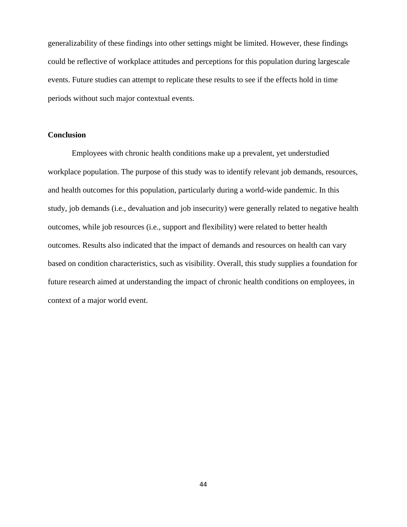generalizability of these findings into other settings might be limited. However, these findings could be reflective of workplace attitudes and perceptions for this population during largescale events. Future studies can attempt to replicate these results to see if the effects hold in time periods without such major contextual events.

#### **Conclusion**

Employees with chronic health conditions make up a prevalent, yet understudied workplace population. The purpose of this study was to identify relevant job demands, resources, and health outcomes for this population, particularly during a world-wide pandemic. In this study, job demands (i.e., devaluation and job insecurity) were generally related to negative health outcomes, while job resources (i.e., support and flexibility) were related to better health outcomes. Results also indicated that the impact of demands and resources on health can vary based on condition characteristics, such as visibility. Overall, this study supplies a foundation for future research aimed at understanding the impact of chronic health conditions on employees, in context of a major world event.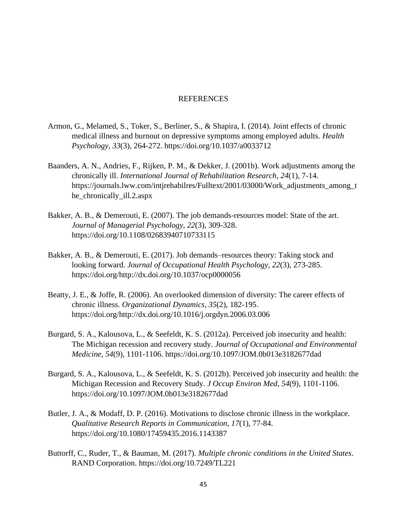#### REFERENCES

- Armon, G., Melamed, S., Toker, S., Berliner, S., & Shapira, I. (2014). Joint effects of chronic medical illness and burnout on depressive symptoms among employed adults. *Health Psychology*, *33*(3), 264-272. https://doi.org/10.1037/a0033712
- Baanders, A. N., Andries, F., Rijken, P. M., & Dekker, J. (2001b). Work adjustments among the chronically ill. *International Journal of Rehabilitation Research*, *24*(1), 7-14. https://journals.lww.com/intjrehabilres/Fulltext/2001/03000/Work\_adjustments\_among\_t he\_chronically\_ill.2.aspx
- Bakker, A. B., & Demerouti, E. (2007). The job demands-resources model: State of the art. *Journal of Managerial Psychology*, *22*(3), 309-328. https://doi.org/10.1108/02683940710733115
- Bakker, A. B., & Demerouti, E. (2017). Job demands–resources theory: Taking stock and looking forward. *Journal of Occupational Health Psychology*, *22*(3), 273-285. https://doi.org/http://dx.doi.org/10.1037/ocp0000056
- Beatty, J. E., & Joffe, R. (2006). An overlooked dimension of diversity: The career effects of chronic illness. *Organizational Dynamics*, *35*(2), 182-195. https://doi.org/http://dx.doi.org/10.1016/j.orgdyn.2006.03.006
- Burgard, S. A., Kalousova, L., & Seefeldt, K. S. (2012a). Perceived job insecurity and health: The Michigan recession and recovery study. *Journal of Occupational and Environmental Medicine*, *54*(9), 1101-1106. https://doi.org/10.1097/JOM.0b013e3182677dad
- Burgard, S. A., Kalousova, L., & Seefeldt, K. S. (2012b). Perceived job insecurity and health: the Michigan Recession and Recovery Study. *J Occup Environ Med*, *54*(9), 1101-1106. https://doi.org/10.1097/JOM.0b013e3182677dad
- Butler, J. A., & Modaff, D. P. (2016). Motivations to disclose chronic illness in the workplace. *Qualitative Research Reports in Communication*, *17*(1), 77-84. https://doi.org/10.1080/17459435.2016.1143387
- Buttorff, C., Ruder, T., & Bauman, M. (2017). *Multiple chronic conditions in the United States*. RAND Corporation. https://doi.org/10.7249/TL221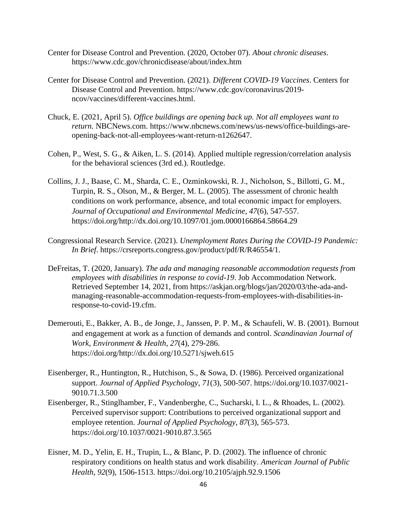- Center for Disease Control and Prevention. (2020, October 07). *About chronic diseases*. https://www.cdc.gov/chronicdisease/about/index.htm
- Center for Disease Control and Prevention. (2021). *Different COVID-19 Vaccines*. Centers for Disease Control and Prevention. https://www.cdc.gov/coronavirus/2019 ncov/vaccines/different-vaccines.html.
- Chuck, E. (2021, April 5). *Office buildings are opening back up. Not all employees want to return.* NBCNews.com. https://www.nbcnews.com/news/us-news/office-buildings-areopening-back-not-all-employees-want-return-n1262647.
- Cohen, P., West, S. G., & Aiken, L. S. (2014). Applied multiple regression/correlation analysis for the behavioral sciences (3rd ed.). Routledge.
- Collins, J. J., Baase, C. M., Sharda, C. E., Ozminkowski, R. J., Nicholson, S., Billotti, G. M., Turpin, R. S., Olson, M., & Berger, M. L. (2005). The assessment of chronic health conditions on work performance, absence, and total economic impact for employers. *Journal of Occupational and Environmental Medicine*, *47*(6), 547-557. https://doi.org/http://dx.doi.org/10.1097/01.jom.0000166864.58664.29
- Congressional Research Service. (2021). *Unemployment Rates During the COVID-19 Pandemic: In Brief*. https://crsreports.congress.gov/product/pdf/R/R46554/1.
- DeFreitas, T. (2020, January). *The ada and managing reasonable accommodation requests from employees with disabilities in response to covid-19*. Job Accommodation Network. Retrieved September 14, 2021, from https://askjan.org/blogs/jan/2020/03/the-ada-andmanaging-reasonable-accommodation-requests-from-employees-with-disabilities-inresponse-to-covid-19.cfm.
- Demerouti, E., Bakker, A. B., de Jonge, J., Janssen, P. P. M., & Schaufeli, W. B. (2001). Burnout and engagement at work as a function of demands and control. *Scandinavian Journal of Work, Environment & Health*, *27*(4), 279-286. https://doi.org/http://dx.doi.org/10.5271/sjweh.615
- Eisenberger, R., Huntington, R., Hutchison, S., & Sowa, D. (1986). Perceived organizational support. *Journal of Applied Psychology*, *71*(3), 500-507. https://doi.org/10.1037/0021- 9010.71.3.500
- Eisenberger, R., Stinglhamber, F., Vandenberghe, C., Sucharski, I. L., & Rhoades, L. (2002). Perceived supervisor support: Contributions to perceived organizational support and employee retention. *Journal of Applied Psychology*, *87*(3), 565-573. https://doi.org/10.1037/0021-9010.87.3.565
- Eisner, M. D., Yelin, E. H., Trupin, L., & Blanc, P. D. (2002). The influence of chronic respiratory conditions on health status and work disability. *American Journal of Public Health*, *92*(9), 1506-1513. https://doi.org/10.2105/ajph.92.9.1506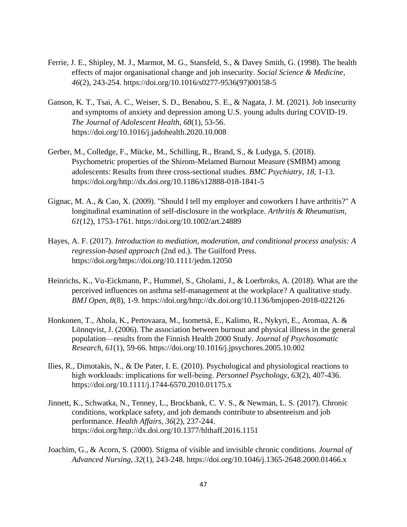- Ferrie, J. E., Shipley, M. J., Marmot, M. G., Stansfeld, S., & Davey Smith, G. (1998). The health effects of major organisational change and job insecurity. *Social Science & Medicine*, *46*(2), 243-254. https://doi.org/10.1016/s0277-9536(97)00158-5
- Ganson, K. T., Tsai, A. C., Weiser, S. D., Benabou, S. E., & Nagata, J. M. (2021). Job insecurity and symptoms of anxiety and depression among U.S. young adults during COVID-19. *The Journal of Adolescent Health*, *68*(1), 53-56. https://doi.org/10.1016/j.jadohealth.2020.10.008
- Gerber, M., Colledge, F., Mücke, M., Schilling, R., Brand, S., & Ludyga, S. (2018). Psychometric properties of the Shirom-Melamed Burnout Measure (SMBM) among adolescents: Results from three cross-sectional studies. *BMC Psychiatry*, *18*, 1-13. https://doi.org/http://dx.doi.org/10.1186/s12888-018-1841-5
- Gignac, M. A., & Cao, X. (2009). "Should I tell my employer and coworkers I have arthritis?" A longitudinal examination of self-disclosure in the workplace. *Arthritis & Rheumatism*, *61*(12), 1753-1761. https://doi.org/10.1002/art.24889
- Hayes, A. F. (2017). *Introduction to mediation, moderation, and conditional process analysis: A regression-based approach* (2nd ed.). The Guilford Press. https://doi.org/https://doi.org/10.1111/jedm.12050
- Heinrichs, K., Vu-Eickmann, P., Hummel, S., Gholami, J., & Loerbroks, A. (2018). What are the perceived influences on asthma self-management at the workplace? A qualitative study. *BMJ Open*, *8*(8), 1-9. https://doi.org/http://dx.doi.org/10.1136/bmjopen-2018-022126
- Honkonen, T., Ahola, K., Pertovaara, M., Isometsä, E., Kalimo, R., Nykyri, E., Aromaa, A. & Lönnqvist, J. (2006). The association between burnout and physical illness in the general population—results from the Finnish Health 2000 Study. *Journal of Psychosomatic Research*, *61*(1), 59-66. https://doi.org/10.1016/j.jpsychores.2005.10.002
- Ilies, R., Dimotakis, N., & De Pater, I. E. (2010). Psychological and physiological reactions to high workloads: implications for well‐being. *Personnel Psychology*, *63*(2), 407-436. https://doi.org/10.1111/j.1744-6570.2010.01175.x
- Jinnett, K., Schwatka, N., Tenney, L., Brockbank, C. V. S., & Newman, L. S. (2017). Chronic conditions, workplace safety, and job demands contribute to absenteeism and job performance. *Health Affairs*, *36*(2), 237-244. https://doi.org/http://dx.doi.org/10.1377/hlthaff.2016.1151
- Joachim, G., & Acorn, S. (2000). Stigma of visible and invisible chronic conditions. *Journal of Advanced Nursing*, *32*(1), 243-248. https://doi.org/10.1046/j.1365-2648.2000.01466.x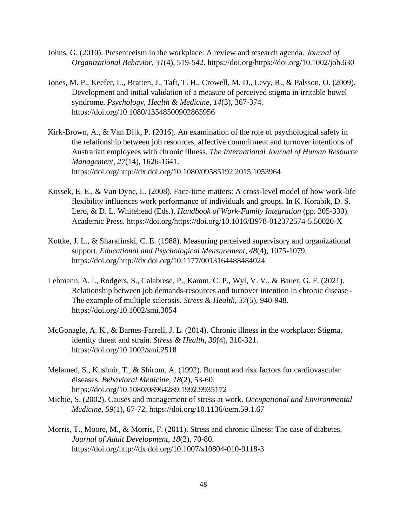- Johns, G. (2010). Presenteeism in the workplace: A review and research agenda. *Journal of Organizational Behavior*, *31*(4), 519-542. https://doi.org/https://doi.org/10.1002/job.630
- Jones, M. P., Keefer, L., Bratten, J., Taft, T. H., Crowell, M. D., Levy, R., & Palsson, O. (2009). Development and initial validation of a measure of perceived stigma in irritable bowel syndrome. *Psychology, Health & Medicine*, *14*(3), 367-374. https://doi.org/10.1080/13548500902865956
- Kirk-Brown, A., & Van Dijk, P. (2016). An examination of the role of psychological safety in the relationship between job resources, affective commitment and turnover intentions of Australian employees with chronic illness. *The International Journal of Human Resource Management*, *27*(14), 1626-1641. https://doi.org/http://dx.doi.org/10.1080/09585192.2015.1053964
- Kossek, E. E., & Van Dyne, L. (2008). Face-time matters: A cross-level model of how work-life flexibility influences work performance of individuals and groups. In K. Korabik, D. S. Lero, & D. L. Whitehead (Eds.), *Handbook of Work-Family Integration* (pp. 305-330). Academic Press. https://doi.org/https://doi.org/10.1016/B978-012372574-5.50020-X
- Kottke, J. L., & Sharafinski, C. E. (1988). Measuring perceived supervisory and organizational support. *Educational and Psychological Measurement*, *48*(4), 1075-1079. https://doi.org/http://dx.doi.org/10.1177/0013164488484024
- Lehmann, A. I., Rodgers, S., Calabrese, P., Kamm, C. P., Wyl, V. V., & Bauer, G. F. (2021). Relationship between job demands-resources and turnover intention in chronic disease - The example of multiple sclerosis. *Stress & Health*, *37*(5), 940-948. https://doi.org/10.1002/smi.3054
- McGonagle, A. K., & Barnes-Farrell, J. L. (2014). Chronic illness in the workplace: Stigma, identity threat and strain. *Stress & Health*, *30*(4), 310-321. https://doi.org/10.1002/smi.2518
- Melamed, S., Kushnir, T., & Shirom, A. (1992). Burnout and risk factors for cardiovascular diseases. *Behavioral Medicine*, *18*(2), 53-60. https://doi.org/10.1080/08964289.1992.9935172
- Michie, S. (2002). Causes and management of stress at work. *Occupational and Environmental Medicine*, *59*(1), 67-72. https://doi.org/10.1136/oem.59.1.67
- Morris, T., Moore, M., & Morris, F. (2011). Stress and chronic illness: The case of diabetes. *Journal of Adult Development*, *18*(2), 70-80. https://doi.org/http://dx.doi.org/10.1007/s10804-010-9118-3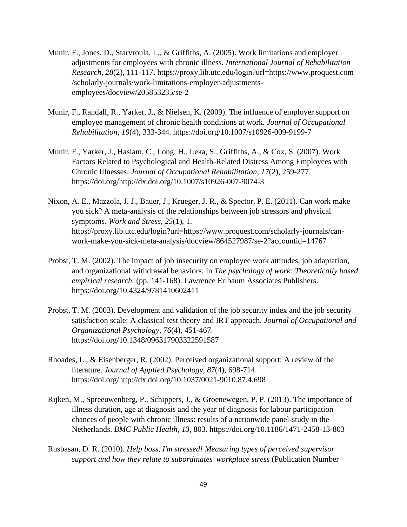- Munir, F., Jones, D., Starvroula, L., & Griffiths, A. (2005). Work limitations and employer adjustments for employees with chronic illness. *International Journal of Rehabilitation Research*, *28*(2), 111-117. https://proxy.lib.utc.edu/login?url=https://www.proquest.com /scholarly-journals/work-limitations-employer-adjustmentsemployees/docview/205853235/se-2
- Munir, F., Randall, R., Yarker, J., & Nielsen, K. (2009). The influence of employer support on employee management of chronic health conditions at work. *Journal of Occupational Rehabilitation*, *19*(4), 333-344. https://doi.org/10.1007/s10926-009-9199-7
- Munir, F., Yarker, J., Haslam, C., Long, H., Leka, S., Griffiths, A., & Cox, S. (2007). Work Factors Related to Psychological and Health-Related Distress Among Employees with Chronic Illnesses. *Journal of Occupational Rehabilitation*, *17*(2), 259-277. https://doi.org/http://dx.doi.org/10.1007/s10926-007-9074-3
- Nixon, A. E., Mazzola, J. J., Bauer, J., Krueger, J. R., & Spector, P. E. (2011). Can work make you sick? A meta-analysis of the relationships between job stressors and physical symptoms. *Work and Stress*, *25*(1), 1. https://proxy.lib.utc.edu/login?url=https://www.proquest.com/scholarly-journals/canwork-make-you-sick-meta-analysis/docview/864527987/se-2?accountid=14767
- Probst, T. M. (2002). The impact of job insecurity on employee work attitudes, job adaptation, and organizational withdrawal behaviors. In *The psychology of work: Theoretically based empirical research.* (pp. 141-168). Lawrence Erlbaum Associates Publishers. https://doi.org/10.4324/9781410602411
- Probst, T. M. (2003). Development and validation of the job security index and the job security satisfaction scale: A classical test theory and IRT approach. *Journal of Occupational and Organizational Psychology*, *76*(4), 451-467. https://doi.org/10.1348/096317903322591587
- Rhoades, L., & Eisenberger, R. (2002). Perceived organizational support: A review of the literature. *Journal of Applied Psychology*, *87*(4), 698-714. https://doi.org/http://dx.doi.org/10.1037/0021-9010.87.4.698
- Rijken, M., Spreeuwenberg, P., Schippers, J., & Groenewegen, P. P. (2013). The importance of illness duration, age at diagnosis and the year of diagnosis for labour participation chances of people with chronic illness: results of a nationwide panel-study in the Netherlands. *BMC Public Health*, *13*, 803. https://doi.org/10.1186/1471-2458-13-803
- Rusbasan, D. R. (2010). *Help boss, I'm stressed! Measuring types of perceived supervisor support and how they relate to subordinates' workplace stress* (Publication Number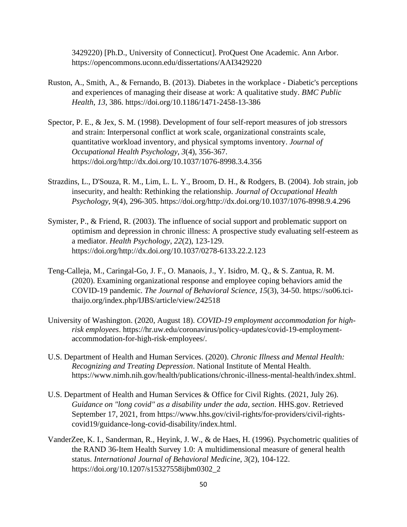3429220) [Ph.D., University of Connecticut]. ProQuest One Academic. Ann Arbor. https://opencommons.uconn.edu/dissertations/AAI3429220

- Ruston, A., Smith, A., & Fernando, B. (2013). Diabetes in the workplace Diabetic's perceptions and experiences of managing their disease at work: A qualitative study. *BMC Public Health*, *13*, 386. https://doi.org/10.1186/1471-2458-13-386
- Spector, P. E., & Jex, S. M. (1998). Development of four self-report measures of job stressors and strain: Interpersonal conflict at work scale, organizational constraints scale, quantitative workload inventory, and physical symptoms inventory. *Journal of Occupational Health Psychology*, *3*(4), 356-367. https://doi.org/http://dx.doi.org/10.1037/1076-8998.3.4.356
- Strazdins, L., D'Souza, R. M., Lim, L. L. Y., Broom, D. H., & Rodgers, B. (2004). Job strain, job insecurity, and health: Rethinking the relationship. *Journal of Occupational Health Psychology*, *9*(4), 296-305. https://doi.org/http://dx.doi.org/10.1037/1076-8998.9.4.296
- Symister, P., & Friend, R. (2003). The influence of social support and problematic support on optimism and depression in chronic illness: A prospective study evaluating self-esteem as a mediator. *Health Psychology*, *22*(2), 123-129. https://doi.org/http://dx.doi.org/10.1037/0278-6133.22.2.123
- Teng-Calleja, M., Caringal-Go, J. F., O. Manaois, J., Y. Isidro, M. Q., & S. Zantua, R. M. (2020). Examining organizational response and employee coping behaviors amid the COVID-19 pandemic. *The Journal of Behavioral Science*, *15*(3), 34-50. https://so06.tcithaijo.org/index.php/IJBS/article/view/242518
- University of Washington. (2020, August 18). *COVID-19 employment accommodation for highrisk employees*. https://hr.uw.edu/coronavirus/policy-updates/covid-19-employmentaccommodation-for-high-risk-employees/.
- U.S. Department of Health and Human Services. (2020). *Chronic Illness and Mental Health: Recognizing and Treating Depression*. National Institute of Mental Health. https://www.nimh.nih.gov/health/publications/chronic-illness-mental-health/index.shtml.
- U.S. Department of Health and Human Services & Office for Civil Rights. (2021, July 26). *Guidance on "long covid" as a disability under the ada, section*. HHS.gov. Retrieved September 17, 2021, from https://www.hhs.gov/civil-rights/for-providers/civil-rightscovid19/guidance-long-covid-disability/index.html.
- VanderZee, K. I., Sanderman, R., Heyink, J. W., & de Haes, H. (1996). Psychometric qualities of the RAND 36-Item Health Survey 1.0: A multidimensional measure of general health status. *International Journal of Behavioral Medicine*, *3*(2), 104-122. https://doi.org/10.1207/s15327558ijbm0302\_2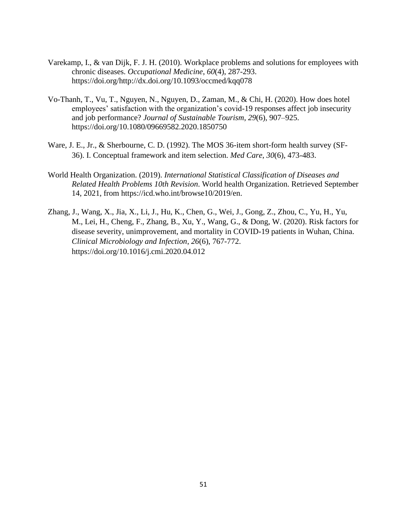- Varekamp, I., & van Dijk, F. J. H. (2010). Workplace problems and solutions for employees with chronic diseases. *Occupational Medicine*, *60*(4), 287-293. https://doi.org/http://dx.doi.org/10.1093/occmed/kqq078
- Vo-Thanh, T., Vu, T., Nguyen, N., Nguyen, D., Zaman, M., & Chi, H. (2020). How does hotel employees' satisfaction with the organization's covid-19 responses affect job insecurity and job performance? *Journal of Sustainable Tourism*, *29*(6), 907–925. https://doi.org/10.1080/09669582.2020.1850750
- Ware, J. E., Jr., & Sherbourne, C. D. (1992). The MOS 36-item short-form health survey (SF-36). I. Conceptual framework and item selection. *Med Care*, *30*(6), 473-483.
- World Health Organization. (2019). *International Statistical Classification of Diseases and Related Health Problems 10th Revision*. World health Organization. Retrieved September 14, 2021, from https://icd.who.int/browse10/2019/en.
- Zhang, J., Wang, X., Jia, X., Li, J., Hu, K., Chen, G., Wei, J., Gong, Z., Zhou, C., Yu, H., Yu, M., Lei, H., Cheng, F., Zhang, B., Xu, Y., Wang, G., & Dong, W. (2020). Risk factors for disease severity, unimprovement, and mortality in COVID-19 patients in Wuhan, China. *Clinical Microbiology and Infection*, *26*(6), 767-772. https://doi.org/10.1016/j.cmi.2020.04.012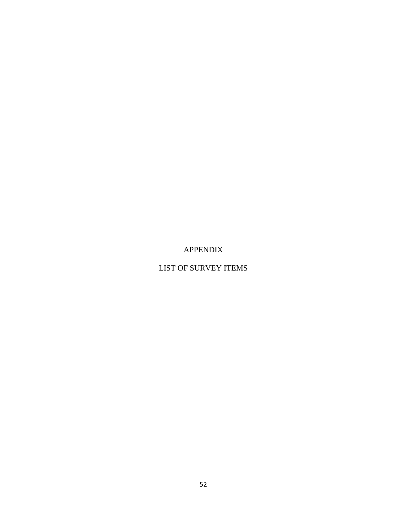APPENDIX

LIST OF SURVEY ITEMS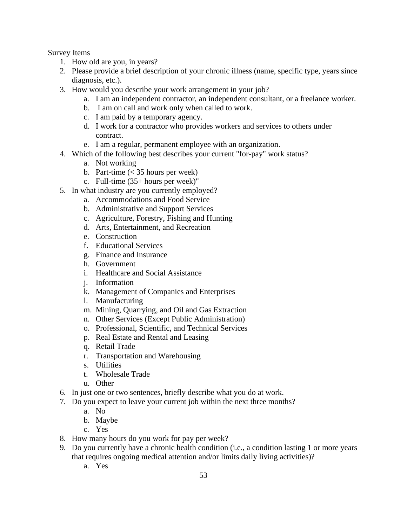Survey Items

- 1. How old are you, in years?
- 2. Please provide a brief description of your chronic illness (name, specific type, years since diagnosis, etc.).
- 3. How would you describe your work arrangement in your job?
	- a. I am an independent contractor, an independent consultant, or a freelance worker.
	- b. I am on call and work only when called to work.
	- c. I am paid by a temporary agency.
	- d. I work for a contractor who provides workers and services to others under contract.
	- e. I am a regular, permanent employee with an organization.
- 4. Which of the following best describes your current "for-pay" work status?
	- a. Not working
	- b. Part-time  $\left($  < 35 hours per week)
	- c. Full-time (35+ hours per week)"
- 5. In what industry are you currently employed?
	- a. Accommodations and Food Service
	- b. Administrative and Support Services
	- c. Agriculture, Forestry, Fishing and Hunting
	- d. Arts, Entertainment, and Recreation
	- e. Construction
	- f. Educational Services
	- g. Finance and Insurance
	- h. Government
	- i. Healthcare and Social Assistance
	- j. Information
	- k. Management of Companies and Enterprises
	- l. Manufacturing
	- m. Mining, Quarrying, and Oil and Gas Extraction
	- n. Other Services (Except Public Administration)
	- o. Professional, Scientific, and Technical Services
	- p. Real Estate and Rental and Leasing
	- q. Retail Trade
	- r. Transportation and Warehousing
	- s. Utilities
	- t. Wholesale Trade
	- u. Other
- 6. In just one or two sentences, briefly describe what you do at work.
- 7. Do you expect to leave your current job within the next three months?
	- a. No
	- b. Maybe
	- c. Yes
- 8. How many hours do you work for pay per week?
- 9. Do you currently have a chronic health condition (i.e., a condition lasting 1 or more years that requires ongoing medical attention and/or limits daily living activities)?
	- a. Yes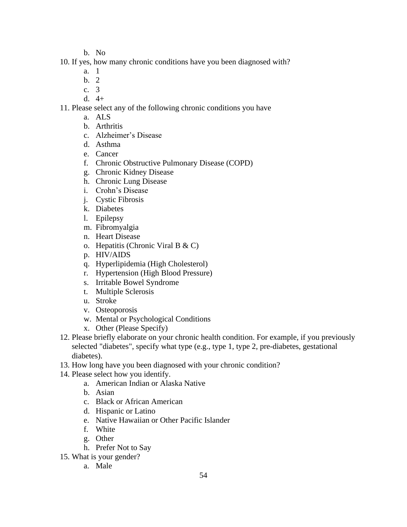- b. No
- 10. If yes, how many chronic conditions have you been diagnosed with?
	- a. 1
	- b. 2
	- c. 3
	- d. 4+

#### 11. Please select any of the following chronic conditions you have

- a. ALS
- b. Arthritis
- c. Alzheimer's Disease
- d. Asthma
- e. Cancer
- f. Chronic Obstructive Pulmonary Disease (COPD)
- g. Chronic Kidney Disease
- h. Chronic Lung Disease
- i. Crohn's Disease
- j. Cystic Fibrosis
- k. Diabetes
- l. Epilepsy
- m. Fibromyalgia
- n. Heart Disease
- o. Hepatitis (Chronic Viral B & C)
- p. HIV/AIDS
- q. Hyperlipidemia (High Cholesterol)
- r. Hypertension (High Blood Pressure)
- s. Irritable Bowel Syndrome
- t. Multiple Sclerosis
- u. Stroke
- v. Osteoporosis
- w. Mental or Psychological Conditions
- x. Other (Please Specify)
- 12. Please briefly elaborate on your chronic health condition. For example, if you previously selected "diabetes", specify what type (e.g., type 1, type 2, pre-diabetes, gestational diabetes).
- 13. How long have you been diagnosed with your chronic condition?
- 14. Please select how you identify.
	- a. American Indian or Alaska Native
	- b. Asian
	- c. Black or African American
	- d. Hispanic or Latino
	- e. Native Hawaiian or Other Pacific Islander
	- f. White
	- g. Other
	- h. Prefer Not to Say
- 15. What is your gender?
	- a. Male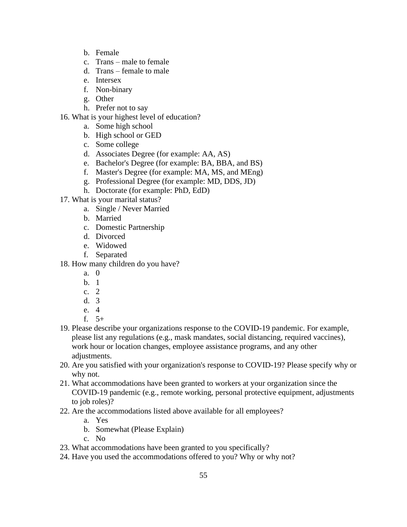- b. Female
- c. Trans male to female
- d. Trans female to male
- e. Intersex
- f. Non-binary
- g. Other
- h. Prefer not to say
- 16. What is your highest level of education?
	- a. Some high school
	- b. High school or GED
	- c. Some college
	- d. Associates Degree (for example: AA, AS)
	- e. Bachelor's Degree (for example: BA, BBA, and BS)
	- f. Master's Degree (for example: MA, MS, and MEng)
	- g. Professional Degree (for example: MD, DDS, JD)
	- h. Doctorate (for example: PhD, EdD)
- 17. What is your marital status?
	- a. Single / Never Married
	- b. Married
	- c. Domestic Partnership
	- d. Divorced
	- e. Widowed
	- f. Separated
- 18. How many children do you have?
	- a. 0
	- b. 1
	- c. 2
	- d. 3
	- e. 4
	- f. 5+
- 19. Please describe your organizations response to the COVID-19 pandemic. For example, please list any regulations (e.g., mask mandates, social distancing, required vaccines), work hour or location changes, employee assistance programs, and any other adjustments.
- 20. Are you satisfied with your organization's response to COVID-19? Please specify why or why not.
- 21. What accommodations have been granted to workers at your organization since the COVID-19 pandemic (e.g., remote working, personal protective equipment, adjustments to job roles)?
- 22. Are the accommodations listed above available for all employees?
	- a. Yes
	- b. Somewhat (Please Explain)
	- c. No
- 23. What accommodations have been granted to you specifically?
- 24. Have you used the accommodations offered to you? Why or why not?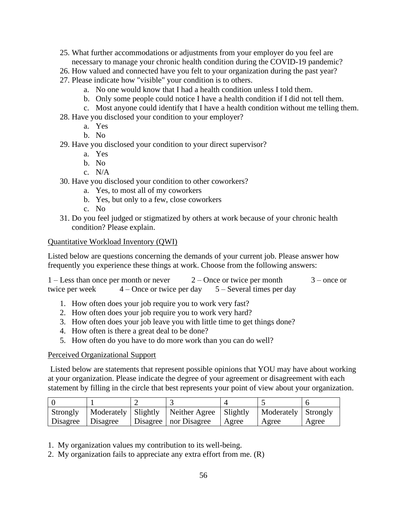- 25. What further accommodations or adjustments from your employer do you feel are necessary to manage your chronic health condition during the COVID-19 pandemic?
- 26. How valued and connected have you felt to your organization during the past year?
- 27. Please indicate how "visible" your condition is to others.
	- a. No one would know that I had a health condition unless I told them.
	- b. Only some people could notice I have a health condition if I did not tell them.
	- c. Most anyone could identify that I have a health condition without me telling them.
- 28. Have you disclosed your condition to your employer?
	- a. Yes
	- b. No
- 29. Have you disclosed your condition to your direct supervisor?
	- a. Yes
	- b. No
	- c. N/A
- 30. Have you disclosed your condition to other coworkers?
	- a. Yes, to most all of my coworkers
	- b. Yes, but only to a few, close coworkers
	- c. No
- 31. Do you feel judged or stigmatized by others at work because of your chronic health condition? Please explain.

#### Quantitative Workload Inventory (QWI)

Listed below are questions concerning the demands of your current job. Please answer how frequently you experience these things at work. Choose from the following answers:

| $1 -$ Less than once per month or never |                             | $2$ – Once or twice per month | $3$ – once or |
|-----------------------------------------|-----------------------------|-------------------------------|---------------|
| twice per week                          | $4 -$ Once or twice per day | $5 -$ Several times per day   |               |

- 1. How often does your job require you to work very fast?
- 2. How often does your job require you to work very hard?
- 3. How often does your job leave you with little time to get things done?
- 4. How often is there a great deal to be done?
- 5. How often do you have to do more work than you can do well?

#### Perceived Organizational Support

Listed below are statements that represent possible opinions that YOU may have about working at your organization. Please indicate the degree of your agreement or disagreement with each statement by filling in the circle that best represents your point of view about your organization.

| Strongly          |  | Moderately   Slightly   Neither Agree   Slightly |       | Moderately Strongly |       |
|-------------------|--|--------------------------------------------------|-------|---------------------|-------|
| Disagree Disagree |  | Disagree   nor Disagree                          | Agree | Agree               | Agree |

- 1. My organization values my contribution to its well-being.
- 2. My organization fails to appreciate any extra effort from me. (R)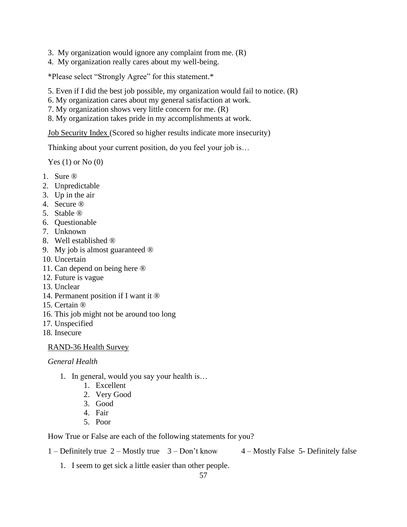- 3. My organization would ignore any complaint from me. (R)
- 4. My organization really cares about my well-being.

\*Please select " trongly Agree" for this statement.\*

- 5. Even if I did the best job possible, my organization would fail to notice. (R)
- 6. My organization cares about my general satisfaction at work.
- 7. My organization shows very little concern for me. (R)
- 8. My organization takes pride in my accomplishments at work.

Job Security Index (Scored so higher results indicate more insecurity)

Thinking about your current position, do you feel your job is…

Yes  $(1)$  or No  $(0)$ 

- 1. Sure ®
- 2. Unpredictable
- 3. Up in the air
- 4. Secure ®
- 5. Stable ®
- 6. Questionable
- 7. Unknown
- 8. Well established ®
- 9. My job is almost guaranteed ®
- 10. Uncertain
- 11. Can depend on being here ®
- 12. Future is vague
- 13. Unclear
- 14. Permanent position if I want it ®
- 15. Certain ®
- 16. This job might not be around too long
- 17. Unspecified
- 18. Insecure

#### RAND-36 Health Survey

#### *General Health*

- 1. In general, would you say your health is...
	- 1. Excellent
	- 2. Very Good
	- 3. Good
	- 4. Fair
	- 5. Poor

How True or False are each of the following statements for you?

1 – Definitely true  $2 -$  Mostly true  $3 -$  Don't know  $4 -$  Mostly False 5- Definitely false

1. I seem to get sick a little easier than other people.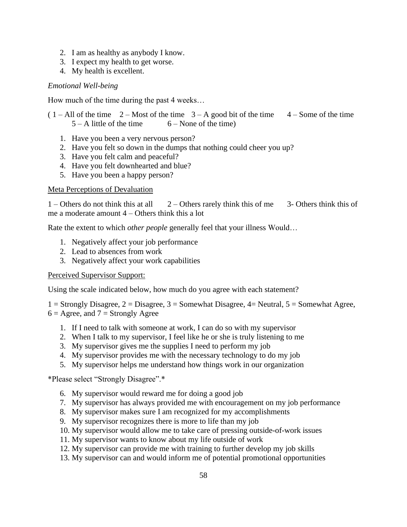- 2. I am as healthy as anybody I know.
- 3. I expect my health to get worse.
- 4. My health is excellent.

#### *Emotional Well-being*

How much of the time during the past 4 weeks...

 $(1 - All of the time  $2 - Most of the time  $3 - A$  good bit of the time  $4 - Some of the time$$$  $5 - A$  little of the time  $6 - None$  of the time)

- 1. Have you been a very nervous person?
- 2. Have you felt so down in the dumps that nothing could cheer you up?
- 3. Have you felt calm and peaceful?
- 4. Have you felt downhearted and blue?
- 5. Have you been a happy person?

#### Meta Perceptions of Devaluation

1 – Others do not think this at all  $2$  – Others rarely think this of me  $3$ - Others think this of me a moderate amount 4 – Others think this a lot

Rate the extent to which *other people* generally feel that your illness Would...

- 1. Negatively affect your job performance
- 2. Lead to absences from work
- 3. Negatively affect your work capabilities

#### Perceived Supervisor Support:

Using the scale indicated below, how much do you agree with each statement?

1 = Strongly Disagree,  $2 = Disagree$ ,  $3 = Somewhat Disagree$ ,  $4 = Neutral$ ,  $5 = Somewhat$  Agree,  $6 = \text{Agree}$ , and  $7 = \text{Strongly Age}$ 

- 1. If I need to talk with someone at work, I can do so with my supervisor
- 2. When I talk to my supervisor, I feel like he or she is truly listening to me
- 3. My supervisor gives me the supplies I need to perform my job
- 4. My supervisor provides me with the necessary technology to do my job
- 5. My supervisor helps me understand how things work in our organization

\*Please select "Strongly Disagree".\*

- 6. My supervisor would reward me for doing a good job
- 7. My supervisor has always provided me with encouragement on my job performance
- 8. My supervisor makes sure I am recognized for my accomplishments
- 9. My supervisor recognizes there is more to life than my job
- 10. My supervisor would allow me to take care of pressing outside-of-work issues
- 11. My supervisor wants to know about my life outside of work
- 12. My supervisor can provide me with training to further develop my job skills
- 13. My supervisor can and would inform me of potential promotional opportunities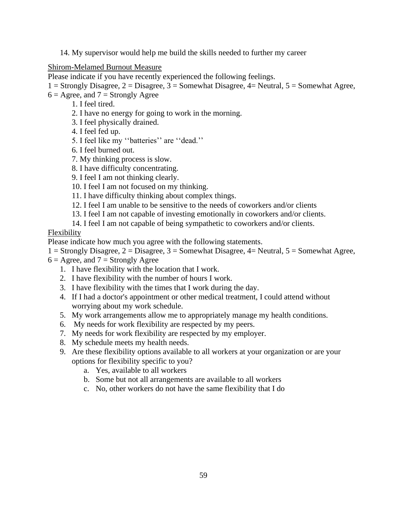14. My supervisor would help me build the skills needed to further my career

Shirom-Melamed Burnout Measure

Please indicate if you have recently experienced the following feelings.

 $1 =$  Strongly Disagree,  $2 =$  Disagree,  $3 =$  Somewhat Disagree,  $4 =$  Neutral,  $5 =$  Somewhat Agree,

 $6 = \text{Agree}$ , and  $7 = \text{Strongly Age}$ 

- 1. I feel tired.
- 2. I have no energy for going to work in the morning.
- 3. I feel physically drained.
- 4. I feel fed up.
- 5. feel like my ''batteries'' are ''dead.''
- 6. I feel burned out.
- 7. My thinking process is slow.
- 8. I have difficulty concentrating.
- 9. I feel I am not thinking clearly.
- 10. I feel I am not focused on my thinking.
- 11. I have difficulty thinking about complex things.
- 12. I feel I am unable to be sensitive to the needs of coworkers and/or clients
- 13. I feel I am not capable of investing emotionally in coworkers and/or clients.
- 14. I feel I am not capable of being sympathetic to coworkers and/or clients.

Flexibility

Please indicate how much you agree with the following statements.

- $1 =$  Strongly Disagree,  $2 =$  Disagree,  $3 =$  Somewhat Disagree,  $4 =$  Neutral,  $5 =$  Somewhat Agree,
- $6 = \text{Agree}$ , and  $7 = \text{Strongly Agree}$ 
	- 1. I have flexibility with the location that I work.
	- 2. I have flexibility with the number of hours I work.
	- 3. I have flexibility with the times that I work during the day.
	- 4. If I had a doctor's appointment or other medical treatment, I could attend without worrying about my work schedule.
	- 5. My work arrangements allow me to appropriately manage my health conditions.
	- 6. My needs for work flexibility are respected by my peers.
	- 7. My needs for work flexibility are respected by my employer.
	- 8. My schedule meets my health needs.
	- 9. Are these flexibility options available to all workers at your organization or are your options for flexibility specific to you?
		- a. Yes, available to all workers
		- b. Some but not all arrangements are available to all workers
		- c. No, other workers do not have the same flexibility that I do